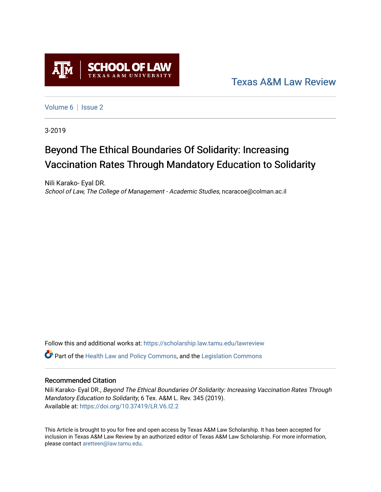

[Texas A&M Law Review](https://scholarship.law.tamu.edu/lawreview) 

[Volume 6](https://scholarship.law.tamu.edu/lawreview/vol6) | Issue 2

3-2019

# Beyond The Ethical Boundaries Of Solidarity: Increasing Vaccination Rates Through Mandatory Education to Solidarity

Nili Karako- Eyal DR. School of Law, The College of Management - Academic Studies, ncaracoe@colman.ac.il

Follow this and additional works at: [https://scholarship.law.tamu.edu/lawreview](https://scholarship.law.tamu.edu/lawreview?utm_source=scholarship.law.tamu.edu%2Flawreview%2Fvol6%2Fiss2%2F4&utm_medium=PDF&utm_campaign=PDFCoverPages)

Part of the [Health Law and Policy Commons](http://network.bepress.com/hgg/discipline/901?utm_source=scholarship.law.tamu.edu%2Flawreview%2Fvol6%2Fiss2%2F4&utm_medium=PDF&utm_campaign=PDFCoverPages), and the [Legislation Commons](http://network.bepress.com/hgg/discipline/859?utm_source=scholarship.law.tamu.edu%2Flawreview%2Fvol6%2Fiss2%2F4&utm_medium=PDF&utm_campaign=PDFCoverPages)

### Recommended Citation

Nili Karako- Eyal DR., Beyond The Ethical Boundaries Of Solidarity: Increasing Vaccination Rates Through Mandatory Education to Solidarity, 6 Tex. A&M L. Rev. 345 (2019). Available at:<https://doi.org/10.37419/LR.V6.I2.2>

This Article is brought to you for free and open access by Texas A&M Law Scholarship. It has been accepted for inclusion in Texas A&M Law Review by an authorized editor of Texas A&M Law Scholarship. For more information, please contact [aretteen@law.tamu.edu.](mailto:aretteen@law.tamu.edu)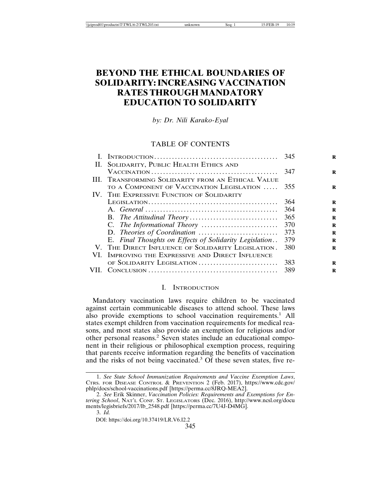# **BEYOND THE ETHICAL BOUNDARIES OF SOLIDARITY: INCREASING VACCINATION RATES THROUGH MANDATORY EDUCATION TO SOLIDARITY**

*by: Dr. Nili Karako-Eyal*

#### TABLE OF CONTENTS

| II. SOLIDARITY, PUBLIC HEALTH ETHICS AND               |     |
|--------------------------------------------------------|-----|
|                                                        | 347 |
| III. TRANSFORMING SOLIDARITY FROM AN ETHICAL VALUE     |     |
| TO A COMPONENT OF VACCINATION LEGISLATION              | 355 |
| IV. THE EXPRESSIVE FUNCTION OF SOLIDARITY              |     |
| LEGISLATION                                            | 364 |
|                                                        | 364 |
|                                                        | 365 |
|                                                        | 370 |
|                                                        | 373 |
| E. Final Thoughts on Effects of Solidarity Legislation | 379 |
| V. THE DIRECT INFLUENCE OF SOLIDARITY LEGISLATION.     | 380 |
| IMPROVING THE EXPRESSIVE AND DIRECT INFLUENCE          |     |
| OF SOLIDARITY LEGISLATION                              | 383 |
|                                                        | 389 |
|                                                        |     |

#### I. INTRODUCTION

Mandatory vaccination laws require children to be vaccinated against certain communicable diseases to attend school. These laws also provide exemptions to school vaccination requirements.<sup>1</sup> All states exempt children from vaccination requirements for medical reasons, and most states also provide an exemption for religious and/or other personal reasons.<sup>2</sup> Seven states include an educational component in their religious or philosophical exemption process, requiring that parents receive information regarding the benefits of vaccination and the risks of not being vaccinated.<sup>3</sup> Of these seven states, five re-

<sup>1.</sup> *See State School Immunization Requirements and Vaccine Exemption Laws*, CTRS. FOR DISEASE CONTROL & PREVENTION 2 (Feb. 2017), https://www.cdc.gov/ phlp/docs/school-vaccinations.pdf [https://perma.cc/8JRQ-MEA2].

<sup>2.</sup> *See* Erik Skinner, *Vaccination Policies: Requirements and Exemptions for Entering School*, NAT'L CONF. ST. LEGISLATORS (Dec. 2016), http://www.ncsl.org/docu ments/legisbriefs/2017/lb\_2548.pdf [https://perma.cc/7U4J-D4MG].

<sup>3.</sup> *Id.*

DOI: https://doi.org/10.37419/LR.V6.I2.2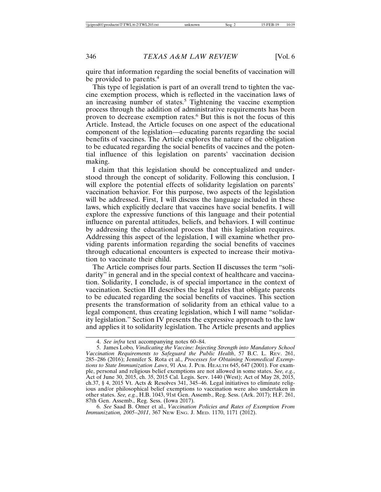quire that information regarding the social benefits of vaccination will be provided to parents.<sup>4</sup>

This type of legislation is part of an overall trend to tighten the vaccine exemption process, which is reflected in the vaccination laws of an increasing number of states.<sup>5</sup> Tightening the vaccine exemption process through the addition of administrative requirements has been proven to decrease exemption rates.<sup>6</sup> But this is not the focus of this Article. Instead, the Article focuses on one aspect of the educational component of the legislation—educating parents regarding the social benefits of vaccines. The Article explores the nature of the obligation to be educated regarding the social benefits of vaccines and the potential influence of this legislation on parents' vaccination decision making.

I claim that this legislation should be conceptualized and understood through the concept of solidarity. Following this conclusion, I will explore the potential effects of solidarity legislation on parents' vaccination behavior. For this purpose, two aspects of the legislation will be addressed. First, I will discuss the language included in these laws, which explicitly declare that vaccines have social benefits. I will explore the expressive functions of this language and their potential influence on parental attitudes, beliefs, and behaviors. I will continue by addressing the educational process that this legislation requires. Addressing this aspect of the legislation, I will examine whether providing parents information regarding the social benefits of vaccines through educational encounters is expected to increase their motivation to vaccinate their child.

The Article comprises four parts. Section II discusses the term "solidarity" in general and in the special context of healthcare and vaccination. Solidarity, I conclude, is of special importance in the context of vaccination. Section III describes the legal rules that obligate parents to be educated regarding the social benefits of vaccines. This section presents the transformation of solidarity from an ethical value to a legal component, thus creating legislation, which I will name "solidarity legislation." Section IV presents the expressive approach to the law and applies it to solidarity legislation. The Article presents and applies

6. *See* Saad B. Omer et al., *Vaccination Policies and Rates of Exemption From Immunization, 2005–2011*, 367 NEW ENG. J. MED. 1170, 1171 (2012).

<sup>4.</sup> *See infra* text accompanying notes 60–84.

<sup>5.</sup> James Lobo*, Vindicating the Vaccine: Injecting Strength into Mandatory School Vaccination Requirements to Safeguard the Public Health*, 57 B.C. L. REV. 261, 285–286 (2016); Jennifer S. Rota et al., *Processes for Obtaining Nonmedical Exemptions to State Immunization Laws*, 91 AM. J. PUB. HEALTH 645, 647 (2001). For example, personal and religious belief exemptions are not allowed in some states. *See, e.g.*, Act of June 30, 2015, ch. 35, 2015 Cal. Legis. Serv. 1440 (West); Act of May 28, 2015, ch.37, § 4, 2015 Vt. Acts & Resolves 341, 345–46. Legal initiatives to eliminate religious and/or philosophical belief exemptions to vaccination were also undertaken in other states. *See, e.g.*, H.B. 1043, 91st Gen. Assemb., Reg. Sess. (Ark. 2017); H.F. 261, 87th Gen. Assemb., Reg. Sess. (Iowa 2017).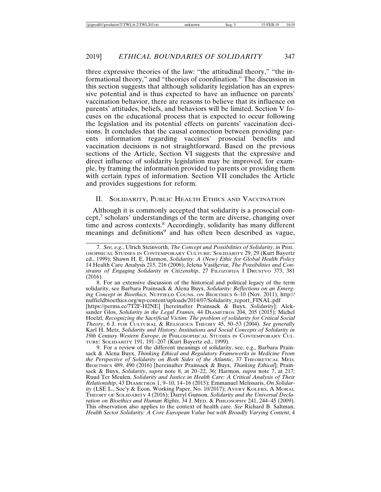three expressive theories of the law: "the attitudinal theory," "the informational theory," and "theories of coordination." The discussion in this section suggests that although solidarity legislation has an expressive potential and is thus expected to have an influence on parents' vaccination behavior, there are reasons to believe that its influence on parents' attitudes, beliefs, and behaviors will be limited. Section V focuses on the educational process that is expected to occur following the legislation and its potential effects on parents' vaccination decisions. It concludes that the causal connection between providing parents information regarding vaccines' prosocial benefits and vaccination decisions is not straightforward. Based on the previous sections of the Article, Section VI suggests that the expressive and direct influence of solidarity legislation may be improved, for example, by framing the information provided to parents or providing them with certain types of information. Section VII concludes the Article and provides suggestions for reform.

#### II. SOLIDARITY, PUBLIC HEALTH ETHICS AND VACCINATION

Although it is commonly accepted that solidarity is a prosocial concept,<sup>7</sup> scholars' understandings of the term are diverse, changing over time and across contexts.<sup>8</sup> Accordingly, solidarity has many different meanings and definitions<sup>9</sup> and has often been described as vague,

<sup>7.</sup> *See, e.g.*, Ulrich Steinvorth, *The Concept and Possibilities of Solidarity*, *in* PHIL-OSOPHICAL STUDIES IN CONTEMPORARY CULTURE: SOLIDARITY 29, 29 (Kurt Bayertz ed., 1999); Shawn H. E. Harmon, *Solidarity: A (New) Ethic for Global Health Policy* 14 Health Care Analysis 215, 216 (2006); Jelena Vasiljeviæ, *The Possibilities and Constrains of Engaging Solidarity in Citizenship*, 27 FILOZOFIJA I DRUSTVO 373, 381 (2016).

<sup>8.</sup> For an extensive discussion of the historical and political legacy of the term solidarity, see Barbara Prainsack & Alena Buyx, *Solidarity: Reflections on an Emerging Concept in Bioethics*, NUFFIELD COUNS. ON BIOETHICS 6–10 (Nov. 2011), http:// nuffieldbioethics.org/wp-content/uploads/2014/07/Solidarity\_report\_FINAL.pdf

<sup>[</sup>https://perma.cc/7T2F-H2NE] [hereinafter Prainsack & Buyx, *Solidarity*]; Aleksander Glos, *Solidarity in the Legal Frames*, 44 DIAMETROS 204, 205 (2015); Michel Hoelzl, *Recognizing the Sacrificial Victim: The problem of solidarity for Critical Social Theory*, 6 J. FOR CULTURAL & RELIGIOUS THEORY 45, 50–53 (2004). *See generally* Karl H. Metz, *Solidarity and History: Institutions and Social Concepts of Solidarity in* 19th Century Western Europe, in PHILOSOPHICAL STUDIES IN CONTEMPORARY CUL-TURE: SOLIDARITY 191, 191–207 (Kurt Bayertz ed., 1999).

<sup>9.</sup> For a review of the different meanings of solidarity, see, e.g., Barbara Prainsack & Alena Buyx, *Thinking Ethical and Regulatory Frameworks in Medicine From the Perspective of Solidarity on Both Sides of the Atlantic*, 37 THEORETICAL MED. BIOETHICS 489, 490 (2016) [hereinafter Prainsack & Buyx, *Thinking Ethical*]; Prainsack & Buyx, *Solidarity*, *supra* note 8, at 20–22, 36; Harmon, *supra* note 7, at 217; Ruud Ter Meulen, *Solidarity and Justice in Health Care: A Critical Analysis of Their Relationship*, 43 DIAMETROS 1, 9–10, 14–16 (2015); Emmanuel Melissaris, *On Solidarity* (LSE L., Soc'y & Econ. Working Paper, No. 10/2017); AVERY KOLERS, A MORAL THEORY OF SOLIDARITY 4 (2016); Darryl Gunson, *Solidarity and the Universal Declaration on Bioethics and Human Rights*, 34 J. MED. & PHILOSOPHY 241, 244–45 (2009). This observation also applies to the context of health care. *See* Richard B. Saltman, *Health Sector Solidarity: A Core European Value but with Broadly Varying Content*, 4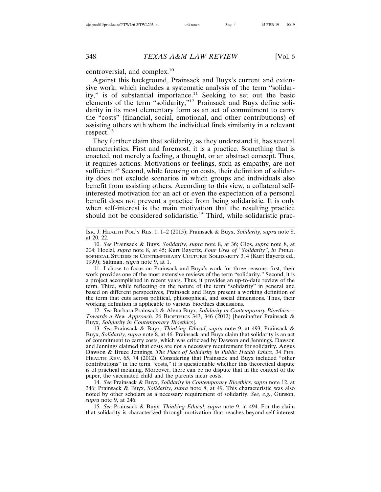controversial, and complex.<sup>10</sup>

Against this background, Prainsack and Buyx's current and extensive work, which includes a systematic analysis of the term "solidarity," is of substantial importance.<sup>11</sup> Seeking to set out the basic elements of the term "solidarity,"<sup>12</sup> Prainsack and Buyx define solidarity in its most elementary form as an act of commitment to carry the "costs" (financial, social, emotional, and other contributions) of assisting others with whom the individual finds similarity in a relevant respect.<sup>13</sup>

They further claim that solidarity, as they understand it, has several characteristics. First and foremost, it is a practice. Something that is enacted, not merely a feeling, a thought, or an abstract concept. Thus, it requires actions. Motivations or feelings, such as empathy, are not sufficient.<sup>14</sup> Second, while focusing on costs, their definition of solidarity does not exclude scenarios in which groups and individuals also benefit from assisting others. According to this view, a collateral selfinterested motivation for an act or even the expectation of a personal benefit does not prevent a practice from being solidaristic. It is only when self-interest is the main motivation that the resulting practice should not be considered solidaristic.<sup>15</sup> Third, while solidaristic prac-

ISR. J. HEALTH POL'Y RES. 1, 1–2 (2015); Prainsack & Buyx, *Solidarity*, *supra* note 8, at 20, 22.

10. *See* Prainsack & Buyx, *Solidarity*, *supra* note 8, at 36; Glos, *supra* note 8, at 204; Hoelzl, *supra* note 8, at 45; Kurt Bayertz, *Four Uses of "Solidarity"*, *in* PHILO-SOPHICAL STUDIES IN CONTEMPORARY CULTURE: SOLIDARITY 3, 4 (Kurt Bayertz ed., 1999); Saltman, *supra* note 9, at 1.

11. I chose to focus on Prainsack and Buyx's work for three reasons: first, their work provides one of the most extensive reviews of the term "solidarity." Second, it is a project accomplished in recent years. Thus, it provides an up-to-date review of the term. Third, while reflecting on the nature of the term "solidarity" in general and based on different perspectives, Prainsack and Buyx present a working definition of the term that cuts across political, philosophical, and social dimensions. Thus, their working definition is applicable to various bioethics discussions.

12. *See* Barbara Prainsack & Alena Buyx, *Solidarity in Contemporary Bioethics— Towards a New Approach*, 26 BIOETHICS 343, 346 (2012) [hereinafter Prainsack & Buyx, *Solidarity in Contemporary Bioethics*].

13. *See* Prainsack & Buyx, *Thinking Ethical*, *supra* note 9, at 493; Prainsack & Buyx, *Solidarity*, *supra* note 8, at 46. Prainsack and Buyx claim that solidarity is an act of commitment to carry costs, which was criticized by Dawson and Jennings. Dawson and Jennings claimed that costs are not a necessary requirement for solidarity. Angus Dawson & Bruce Jennings, *The Place of Solidarity in Public Health Ethics*, 34 PUB. HEALTH REV. 65, 74 (2012). Considering that Prainsack and Buyx included "other contributions" in the term "costs," it is questionable whether this theoretical dispute is of practical meaning. Moreover, there can be no dispute that in the context of the paper, the vaccinated child and the parents incur costs.

14. *See* Prainsack & Buyx, *Solidarity in Contemporary Bioethics*, *supra* note 12, at 346; Prainsack & Buyx, *Solidarity*, *supra* note 8, at 49. This characteristic was also noted by other scholars as a necessary requirement of solidarity. *See, e.g.*, Gunson, *supra* note 9, at 246.

15. *See* Prainsack & Buyx, *Thinking Ethical*, *supra* note 9, at 494. For the claim that solidarity is characterized through motivation that reaches beyond self-interest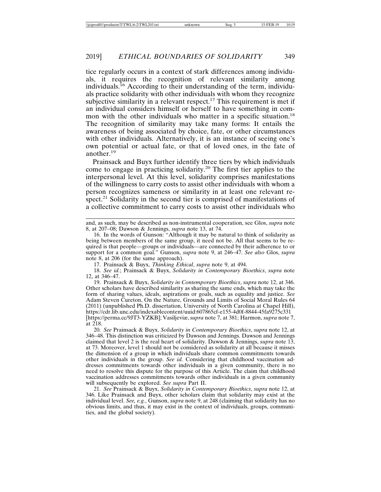tice regularly occurs in a context of stark differences among individuals, it requires the recognition of relevant similarity among individuals.16 According to their understanding of the term, individuals practice solidarity with other individuals with whom they recognize subjective similarity in a relevant respect.<sup>17</sup> This requirement is met if an individual considers himself or herself to have something in common with the other individuals who matter in a specific situation.<sup>18</sup> The recognition of similarity may take many forms: It entails the awareness of being associated by choice, fate, or other circumstances with other individuals. Alternatively, it is an instance of seeing one's own potential or actual fate, or that of loved ones, in the fate of another.19

Prainsack and Buyx further identify three tiers by which individuals come to engage in practicing solidarity.20 The first tier applies to the interpersonal level. At this level, solidarity comprises manifestations of the willingness to carry costs to assist other individuals with whom a person recognizes sameness or similarity in at least one relevant respect.<sup>21</sup> Solidarity in the second tier is comprised of manifestations of a collective commitment to carry costs to assist other individuals who

17. Prainsack & Buyx, *Thinking Ethical*, *supra* note 9, at 494.

18. *See id.*; Prainsack & Buyx, *Solidarity in Contemporary Bioethics*, *supra* note 12, at 346–47.

19. Prainsack & Buyx, *Solidarity in Contemporary Bioethics*, *supra* note 12, at 346. Other scholars have described similarity as sharing the same ends, which may take the form of sharing values, ideals, aspirations or goals, such as equality and justice. *See* Adam Steven Cureton, On the Nature, Grounds and Limits of Social Moral Rules 64 (2011) (unpublished Ph.D. dissertation, University of North Carolina at Chapel Hill), https://cdr.lib.unc.edu/indexablecontent/uuid:607865cf-e155-4d0f-8844-45fa9275c331 [https://perma.cc/9JT3-YZKB]; Vasiljeviæ, *supra* note 7, at 381; Harmon, *supra* note 7, at 218.

20. *See* Prainsack & Buyx, *Solidarity in Contemporary Bioethics*, *supra* note 12, at 346–48. This distinction was criticized by Dawson and Jennings. Dawson and Jennings claimed that level 2 is the real heart of solidarity. Dawson & Jennings, *supra* note 13, at 73. Moreover, level 1 should not be considered as solidarity at all because it misses the dimension of a group in which individuals share common commitments towards other individuals in the group. *See id.* Considering that childhood vaccination addresses commitments towards other individuals in a given community, there is no need to resolve this dispute for the purpose of this Article. The claim that childhood vaccination addresses commitments towards other individuals in a given community will subsequently be explored. *See supra* Part II.

21. *See* Prainsack & Buyx, *Solidarity in Contemporary Bioethics*, *supra* note 12, at 346. Like Prainsack and Buyx, other scholars claim that solidarity may exist at the individual level. *See, e.g.*, Gunson, *supra* note 9, at 248 (claiming that solidarity has no obvious limits, and thus, it may exist in the context of individuals, groups, communities, and the global society).

and, as such, may be described as non-instrumental cooperation, see Glos, *supra* note 8, at 207–08; Dawson & Jennings, *supra* note 13, at 74.

<sup>16.</sup> In the words of Gunson: "Although it may be natural to think of solidarity as being between members of the same group, it need not be. All that seems to be required is that people—groups or individuals—are connected by their adherence to or support for a common goal." Gunson, *supra* note 9, at 246–47. *See also* Glos, *supra* note 8, at 206 (for the same approach).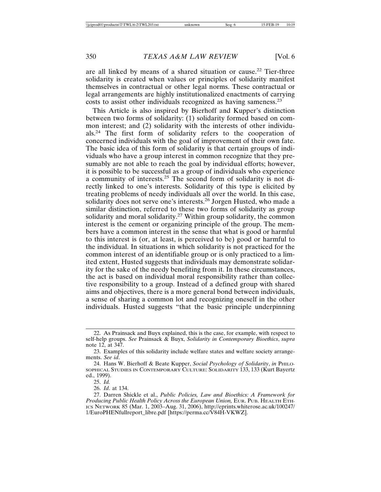are all linked by means of a shared situation or cause.22 Tier-three solidarity is created when values or principles of solidarity manifest themselves in contractual or other legal norms. These contractual or legal arrangements are highly institutionalized enactments of carrying costs to assist other individuals recognized as having sameness.<sup>23</sup>

This Article is also inspired by Bierhoff and Kupper's distinction between two forms of solidarity: (1) solidarity formed based on common interest; and (2) solidarity with the interests of other individuals.24 The first form of solidarity refers to the cooperation of concerned individuals with the goal of improvement of their own fate. The basic idea of this form of solidarity is that certain groups of individuals who have a group interest in common recognize that they presumably are not able to reach the goal by individual efforts; however, it is possible to be successful as a group of individuals who experience a community of interests.25 The second form of solidarity is not directly linked to one's interests. Solidarity of this type is elicited by treating problems of needy individuals all over the world. In this case, solidarity does not serve one's interests.<sup>26</sup> Jorgen Husted, who made a similar distinction, referred to these two forms of solidarity as group solidarity and moral solidarity.<sup>27</sup> Within group solidarity, the common interest is the cement or organizing principle of the group. The members have a common interest in the sense that what is good or harmful to this interest is (or, at least, is perceived to be) good or harmful to the individual. In situations in which solidarity is not practiced for the common interest of an identifiable group or is only practiced to a limited extent, Husted suggests that individuals may demonstrate solidarity for the sake of the needy benefiting from it. In these circumstances, the act is based on individual moral responsibility rather than collective responsibility to a group. Instead of a defined group with shared aims and objectives, there is a more general bond between individuals, a sense of sharing a common lot and recognizing oneself in the other individuals. Husted suggests "that the basic principle underpinning

<sup>22.</sup> As Prainsack and Buyx explained, this is the case, for example, with respect to self-help groups. *See* Prainsack & Buyx, *Solidarity in Contemporary Bioethics*, *supra* note 12, at 347.

<sup>23.</sup> Examples of this solidarity include welfare states and welfare society arrangements. *See id*.

<sup>24.</sup> Hans W. Bierhoff & Beate Kupper, *Social Psychology of Solidarity*, *in* PHILO-SOPHICAL STUDIES IN CONTEMPORARY CULTURE: SOLIDARITY 133, 133 (Kurt Bayertz ed., 1999).

<sup>25.</sup> *Id.*

<sup>26.</sup> *Id*. at 134.

<sup>27.</sup> Darren Shickle et al., *Public Policies, Law and Bioethics: A Framework for Producing Public Health Policy Across the European Union,* EUR. PUB. HEALTH ETH-ICS NETWORK 85 (Mar. 1, 2003–Aug. 31, 2006), http://eprints.whiterose.ac.uk/100247/ 1/EuroPHENfullreport\_libre.pdf [https://perma.cc/V84H-VKWZ].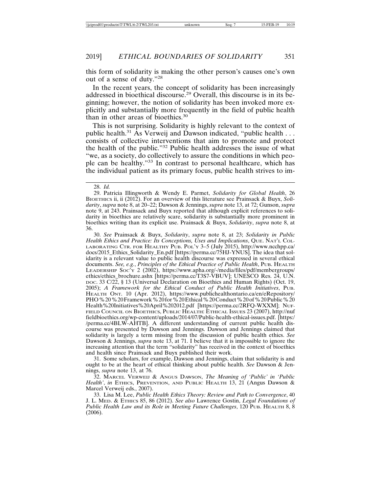this form of solidarity is making the other person's causes one's own out of a sense of duty."<sup>28</sup>

In the recent years, the concept of solidarity has been increasingly addressed in bioethical discourse.29 Overall, this discourse is in its beginning; however, the notion of solidarity has been invoked more explicitly and substantially more frequently in the field of public health than in other areas of bioethics.<sup>30</sup>

This is not surprising. Solidarity is highly relevant to the context of public health.<sup>31</sup> As Verweij and Dawson indicated, "public health . . . consists of collective interventions that aim to promote and protect the health of the public."32 Public health addresses the issue of what "we, as a society, do collectively to assure the conditions in which people can be healthy."33 In contrast to personal healthcare, which has the individual patient as its primary focus, public health strives to im-

28. *Id.*

30. *See* Prainsack & Buyx, *Solidarity*, *supra* note 8, at 23; *Solidarity in Public Health Ethics and Practice: Its Conceptions, Uses and Implications*, QUE. NAT'L COL-LABORATING CTR. FOR HEALTHY PUB. POL'Y 3–5 (July 2015), http://www.ncchpp.ca/ docs/2015\_Ethics\_Solidarity\_En.pdf [https://perma.cc/75HJ-YNUS]. The idea that solidarity is a relevant value to public health discourse was expressed in several ethical documents. *See, e.g.*, *Principles of the Ethical Practice of Public Health*, PUB. HEALTH LEADERSHIP SOC'Y 2 (2002), https://www.apha.org/-/media/files/pdf/membergroups/ ethics/ethics\_brochure.ashx [https://perma.cc/T3S7-VBUV]; UNESCO Res. 24, U.N. DOC. 33 C/22, § 13 (Universal Declaration on Bioethics and Human Rights) (Oct. 19, 2005); *A Framework for the Ethical Conduct of Public Health Initiatives*, PUB. HEALTH ONT. 10 (Apr. 2012), https://www.publichealthontario.ca/en/eRepository/ PHO%20%20Framework%20for%20Ethical%20Conduct%20of%20Public%20 Health%20Initiatives%20April%202012.pdf [https://perma.cc/2RFQ-WXXM]; NUF-FIELD COUNCIL ON BIOETHICS, PUBLIC HEALTH: ETHICAL ISSUES 23 (2007), http://nuf fieldbioethics.org/wp-content/uploads/2014/07/Public-health-ethical-issues.pdf. [https:/ /perma.cc/4BLW-AHTB]. A different understanding of current public health discourse was presented by Dawson and Jennings. Dawson and Jennings claimed that solidarity is largely a term missing from the discussion of public health ethics. *See* Dawson & Jennings, *supra* note 13, at 71. I believe that it is impossible to ignore the increasing attention that the term "solidarity" has received in the context of bioethics and health since Prainsack and Buyx published their work.

31. Some scholars, for example, Dawson and Jennings, claim that solidarity is and ought to be at the heart of ethical thinking about public health. *See* Dawson & Jennings, *supra* note 13, at 76.

32. MARCEL VERWEIJ & ANGUS DAWSON, *The Meaning of 'Public' in 'Public Health'*, *in* ETHICS, PREVENTION, AND PUBLIC HEALTH 13, 21 (Angus Dawson & Marcel Verweij eds., 2007).

33. Lisa M. Lee, *Public Health Ethics Theory: Review and Path to Convergence*, 40 J. L. MED. & ETHICS 85, 86 (2012). *See also* Lawrence Gostin, *Legal Foundations of Public Health Law and its Role in Meeting Future Challenges*, 120 PUB. HEALTH 8, 8 (2006).

<sup>29.</sup> Patricia Illingworth & Wendy E. Parmet, *Solidarity for Global Health*, 26 BIOETHICS ii, ii (2012). For an overview of this literature see Prainsack & Buyx, *Solidarity*, *supra* note 8, at 20–22; Dawson & Jennings, *supra* note 13, at 72; Gunson, *supra* note 9, at 243. Prainsack and Buyx reported that although explicit references to solidarity in bioethics are relatively scare, solidarity is substantially more prominent in bioethics writing than its explicit use. Prainsack & Buyx, *Solidarity*, *supra* note 8, at 36.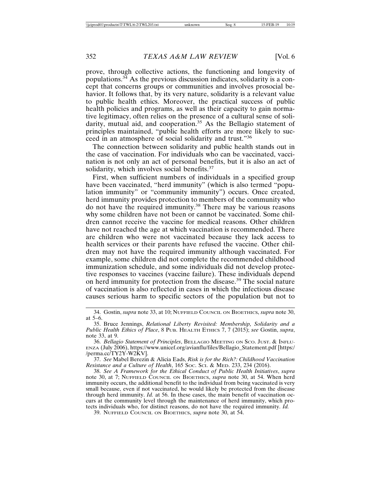prove, through collective actions, the functioning and longevity of populations.34 As the previous discussion indicates, solidarity is a concept that concerns groups or communities and involves prosocial behavior. It follows that, by its very nature, solidarity is a relevant value to public health ethics. Moreover, the practical success of public health policies and programs, as well as their capacity to gain normative legitimacy, often relies on the presence of a cultural sense of solidarity, mutual aid, and cooperation.<sup>35</sup> As the Bellagio statement of principles maintained, "public health efforts are more likely to succeed in an atmosphere of social solidarity and trust."<sup>36</sup>

The connection between solidarity and public health stands out in the case of vaccination. For individuals who can be vaccinated, vaccination is not only an act of personal benefits, but it is also an act of solidarity, which involves social benefits.<sup>37</sup>

First, when sufficient numbers of individuals in a specified group have been vaccinated, "herd immunity" (which is also termed "population immunity" or "community immunity") occurs. Once created, herd immunity provides protection to members of the community who do not have the required immunity.38 There may be various reasons why some children have not been or cannot be vaccinated. Some children cannot receive the vaccine for medical reasons. Other children have not reached the age at which vaccination is recommended. There are children who were not vaccinated because they lack access to health services or their parents have refused the vaccine. Other children may not have the required immunity although vaccinated. For example, some children did not complete the recommended childhood immunization schedule, and some individuals did not develop protective responses to vaccines (vaccine failure). These individuals depend on herd immunity for protection from the disease.39 The social nature of vaccination is also reflected in cases in which the infectious disease causes serious harm to specific sectors of the population but not to

37. *See* Mabel Berezin & Alicia Eads, *Risk is for the Rich?: Childhood Vaccination Resistance and a Culture of Health*, 165 SOC. SCI. & MED. 233, 234 (2016).

38. *See A Framework for the Ethical Conduct of Public Health Initiatives*, *supra* note 30, at 7; NUFFIELD COUNCIL ON BIOETHICS, *supra* note 30, at 54. When herd immunity occurs, the additional benefit to the individual from being vaccinated is very small because, even if not vaccinated, he would likely be protected from the disease through herd immunity. *Id.* at 56. In these cases, the main benefit of vaccination occurs at the community level through the maintenance of herd immunity, which protects individuals who, for distinct reasons, do not have the required immunity. *Id.*

39. NUFFIELD COUNCIL ON BIOETHICS, *supra* note 30, at 54.

<sup>34.</sup> Gostin, *supra* note 33, at 10; NUFFIELD COUNCIL ON BIOETHICS, *supra* note 30, at 5–6.

<sup>35.</sup> Bruce Jennings, *Relational Liberty Revisited: Membership, Solidarity and a Public Health Ethics of Place*, 8 PUB. HEALTH ETHICS 7, 7 (2015); *see* Gostin, *supra*, note 33, at 9.

<sup>36.</sup> *Bellagio Statement of Principles*, BELLAGIO MEETING ON SCO. JUST. & INFLU-ENZA (July 2006), https://www.unicef.org/avianflu/files/Bellagio\_Statement.pdf [https:/ /perma.cc/TY2Y-W2KV].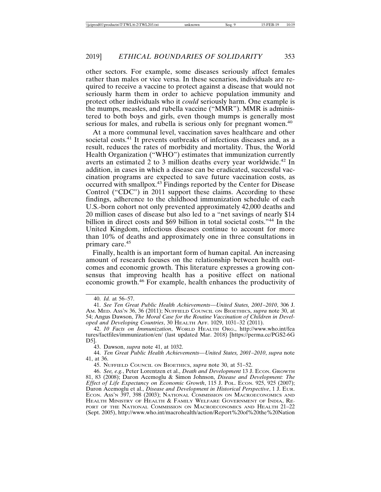other sectors. For example, some diseases seriously affect females rather than males or vice versa. In these scenarios, individuals are required to receive a vaccine to protect against a disease that would not seriously harm them in order to achieve population immunity and protect other individuals who it *could* seriously harm. One example is the mumps, measles, and rubella vaccine ("MMR"). MMR is administered to both boys and girls, even though mumps is generally most serious for males, and rubella is serious only for pregnant women.<sup>40</sup>

At a more communal level, vaccination saves healthcare and other societal costs.<sup>41</sup> It prevents outbreaks of infectious diseases and, as a result, reduces the rates of morbidity and mortality. Thus, the World Health Organization ("WHO") estimates that immunization currently averts an estimated 2 to 3 million deaths every year worldwide.<sup>42</sup> In addition, in cases in which a disease can be eradicated, successful vaccination programs are expected to save future vaccination costs, as occurred with smallpox.43 Findings reported by the Center for Disease Control ("CDC") in 2011 support these claims. According to these findings, adherence to the childhood immunization schedule of each U.S.-born cohort not only prevented approximately 42,000 deaths and 20 million cases of disease but also led to a "net savings of nearly \$14 billion in direct costs and \$69 billion in total societal costs."44 In the United Kingdom, infectious diseases continue to account for more than 10% of deaths and approximately one in three consultations in primary care.<sup>45</sup>

Finally, health is an important form of human capital. An increasing amount of research focuses on the relationship between health outcomes and economic growth. This literature expresses a growing consensus that improving health has a positive effect on national economic growth.46 For example, health enhances the productivity of

43. Dawson, *supra* note 41, at 1032.

44. *Ten Great Public Health Achievements—United States, 2001–2010*, *supra* note 41, at 36.

45. NUFFIELD COUNCIL ON BIOETHICS, *supra* note 30, at 51–52.

<sup>40.</sup> *Id.* at 56–57.

<sup>41.</sup> *See Ten Great Public Health Achievements—United States, 2001–2010*, 306 J. AM. MED. ASS'N 36, 36 (2011); NUFFIELD COUNCIL ON BIOETHICS, *supra* note 30, at 54; Angus Dawson, *The Moral Case for the Routine Vaccination of Children in Developed and Developing Countries*, 30 HEALTH AFF. 1029, 1031–32 (2011).

<sup>42.</sup> *10 Facts on Immunization*, WORLD HEALTH ORG., http://www.who.int/fea tures/factfiles/immunization/en/ (last updated Mar. 2018) [https://perma.cc/PGS2-6G D5].

<sup>46.</sup> *See, e.g.*, Peter Lorentzen et al., *Death and Development* 13 J. ECON. GROWTH 81, 83 (2008); Daron Acemoglu & Simon Johnson, *Disease and Development: The Effect of Life Expectancy on Economic Growth*, 115 J. POL. ECON. 925, 925 (2007); Daron Acemoglu et al., *Disease and Development in Historical Perspective*, 1 J. EUR. ECON. ASS'N 397, 398 (2003); NATIONAL COMMISSION ON MACROECONOMICS AND HEALTH MINISTRY OF HEALTH & FAMILY WELFARE GOVERNMENT OF INDIA, RE-PORT OF THE NATIONAL COMMISSION ON MACROECONOMICS AND HEALTH 21–22 (Sept. 2005), http://www.who.int/macrohealth/action/Report%20of%20the%20Nation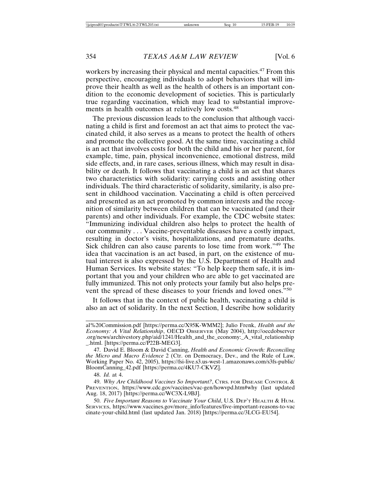workers by increasing their physical and mental capacities.<sup>47</sup> From this perspective, encouraging individuals to adopt behaviors that will improve their health as well as the health of others is an important condition to the economic development of societies. This is particularly true regarding vaccination, which may lead to substantial improvements in health outcomes at relatively low costs.<sup>48</sup>

The previous discussion leads to the conclusion that although vaccinating a child is first and foremost an act that aims to protect the vaccinated child, it also serves as a means to protect the health of others and promote the collective good. At the same time, vaccinating a child is an act that involves costs for both the child and his or her parent, for example, time, pain, physical inconvenience, emotional distress, mild side effects, and, in rare cases, serious illness, which may result in disability or death. It follows that vaccinating a child is an act that shares two characteristics with solidarity: carrying costs and assisting other individuals. The third characteristic of solidarity, similarity, is also present in childhood vaccination. Vaccinating a child is often perceived and presented as an act promoted by common interests and the recognition of similarity between children that can be vaccinated (and their parents) and other individuals. For example, the CDC website states: "Immunizing individual children also helps to protect the health of our community . . . Vaccine-preventable diseases have a costly impact, resulting in doctor's visits, hospitalizations, and premature deaths. Sick children can also cause parents to lose time from work."49 The idea that vaccination is an act based, in part, on the existence of mutual interest is also expressed by the U.S. Department of Health and Human Services. Its website states: "To help keep them safe, it is important that you and your children who are able to get vaccinated are fully immunized. This not only protects your family but also helps prevent the spread of these diseases to your friends and loved ones.<sup>"50</sup>

It follows that in the context of public health, vaccinating a child is also an act of solidarity. In the next Section, I describe how solidarity

al%20Commission.pdf [https://perma.cc/X95K-WMM2]; Julio Frenk, *Health and the Economy: A Vital Relationship*, OECD OBSERVER (May 2004), http://oecdobserver .org/news/archivestory.php/aid/1241/Health\_and\_the\_economy:\_A\_vital\_relationship \_.html. [https://perma.cc/P22B-MEG3].

<sup>47.</sup> David E. Bloom & David Canning, *Health and Economic Growth: Reconciling the Micro and Macro Evidence* 2 (Ctr. on Democracy, Dev., and the Rule of Law, Working Paper No. 42, 2005), https://fsi-live.s3.us-west-1.amazonaws.com/s3fs-public/ BloomCanning\_42.pdf [https://perma.cc/4KU7-CKVZ].

<sup>48.</sup> *Id.* at 4.

<sup>49.</sup> *Why Are Childhood Vaccines So Important?*, CTRS. FOR DISEASE CONTROL & PREVENTION, https://www.cdc.gov/vaccines/vac-gen/howvpd.htm#why (last updated Aug. 18, 2017) [https://perma.cc/WC3X-L9BJ].

<sup>50.</sup> *Five Important Reasons to Vaccinate Your Child*, U.S. DEP'T HEALTH & HUM. SERVICES, https://www.vaccines.gov/more\_info/features/five-important-reasons-to-vac cinate-your-child.html (last updated Jan. 2018) [https://perma.cc/3LCG-EU54].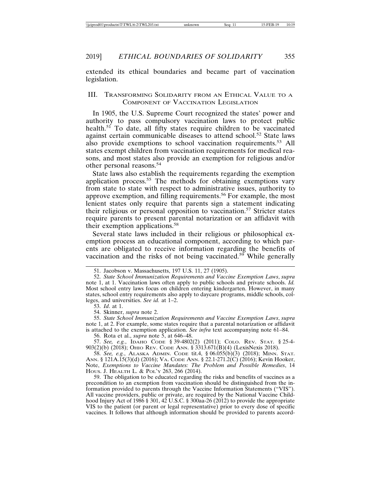extended its ethical boundaries and became part of vaccination legislation.

#### III. TRANSFORMING SOLIDARITY FROM AN ETHICAL VALUE TO A COMPONENT OF VACCINATION LEGISLATION

In 1905, the U.S. Supreme Court recognized the states' power and authority to pass compulsory vaccination laws to protect public health.<sup>51</sup> To date, all fifty states require children to be vaccinated against certain communicable diseases to attend school.<sup>52</sup> State laws also provide exemptions to school vaccination requirements.<sup>53</sup> All states exempt children from vaccination requirements for medical reasons, and most states also provide an exemption for religious and/or other personal reasons.<sup>54</sup>

State laws also establish the requirements regarding the exemption application process.<sup>55</sup> The methods for obtaining exemptions vary from state to state with respect to administrative issues, authority to approve exemption, and filling requirements.<sup>56</sup> For example, the most lenient states only require that parents sign a statement indicating their religious or personal opposition to vaccination.<sup>57</sup> Stricter states require parents to present parental notarization or an affidavit with their exemption applications.<sup>58</sup>

Several state laws included in their religious or philosophical exemption process an educational component, according to which parents are obligated to receive information regarding the benefits of vaccination and the risks of not being vaccinated.<sup>59</sup> While generally

53. *Id*. at 1.

54. Skinner, *supra* note 2.

55. *State School Immunization Requirements and Vaccine Exemption Laws*, *supra* note 1, at 2. For example, some states require that a parental notarization or affidavit is attached to the exemption application. *See infra* text accompanying note 61–84.

56. Rota et al., *supra* note 5, at 646–48.

57. *See, e.g.*, IDAHO CODE § 39-4802(2) (2011); COLO. REV. STAT. § 25-4- 903(2)(b) (2018); OHIO REV. CODE ANN. § 3313.671(B)(4) (LexisNexis 2018).

58. *See, e.g.*, ALASKA ADMIN. CODE tit.4, § 06.055(b)(3) (2018); MINN. STAT. ANN. § 121A.15(3)(d) (2016); VA. CODE ANN. § 22.1-271.2(C) (2016); Kevin Hooker, Note, *Exemptions to Vaccine Mandates: The Problem and Possible Remedies*, 14 HOUS. J. HEALTH L. & POL'Y 263, 266 (2014).

59. The obligation to be educated regarding the risks and benefits of vaccines as a precondition to an exemption from vaccination should be distinguished from the information provided to parents through the Vaccine Information Statements ("VIS"). All vaccine providers, public or private, are required by the National Vaccine Childhood Injury Act of 1986 § 301, 42 U.S.C. § 300aa-26 (2012) to provide the appropriate VIS to the patient (or parent or legal representative) prior to every dose of specific vaccines. It follows that although information should be provided to parents accord-

<sup>51.</sup> Jacobson v. Massachusetts, 197 U.S. 11, 27 (1905).

<sup>52.</sup> *State School Immunization Requirements and Vaccine Exemption Laws*, *supra* note 1, at 1. Vaccination laws often apply to public schools and private schools. *Id.* Most school entry laws focus on children entering kindergarten. However, in many states, school entry requirements also apply to daycare programs, middle schools, colleges, and universities. *See id.* at 1–2.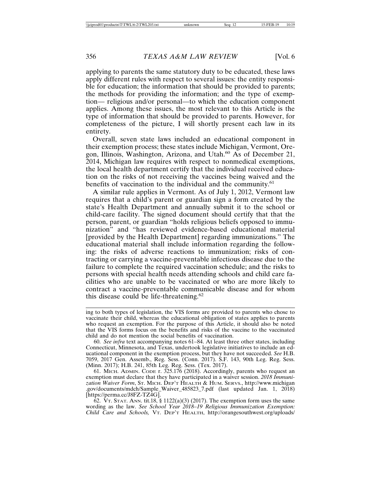applying to parents the same statutory duty to be educated, these laws apply different rules with respect to several issues: the entity responsible for education; the information that should be provided to parents; the methods for providing the information; and the type of exemption— religious and/or personal—to which the education component applies. Among these issues, the most relevant to this Article is the type of information that should be provided to parents. However, for completeness of the picture, I will shortly present each law in its entirety.

Overall, seven state laws included an educational component in their exemption process; these states include Michigan, Vermont, Oregon, Illinois, Washington, Arizona, and Utah.<sup>60</sup> As of December 21, 2014, Michigan law requires with respect to nonmedical exemptions, the local health department certify that the individual received education on the risks of not receiving the vaccines being waived and the benefits of vaccination to the individual and the community.<sup>61</sup>

A similar rule applies in Vermont. As of July 1, 2012, Vermont law requires that a child's parent or guardian sign a form created by the state's Health Department and annually submit it to the school or child-care facility. The signed document should certify that that the person, parent, or guardian "holds religious beliefs opposed to immunization" and "has reviewed evidence-based educational material [provided by the Health Department] regarding immunizations." The educational material shall include information regarding the following: the risks of adverse reactions to immunization; risks of contracting or carrying a vaccine-preventable infectious disease due to the failure to complete the required vaccination schedule; and the risks to persons with special health needs attending schools and child care facilities who are unable to be vaccinated or who are more likely to contract a vaccine-preventable communicable disease and for whom this disease could be life-threatening.<sup>62</sup>

ing to both types of legislation, the VIS forms are provided to parents who chose to vaccinate their child, whereas the educational obligation of states applies to parents who request an exemption. For the purpose of this Article, it should also be noted that the VIS forms focus on the benefits and risks of the vaccine to the vaccinated child and do not mention the social benefits of vaccination.

<sup>60.</sup> *See infra* text accompanying notes 61–84. At least three other states, including Connecticut, Minnesota, and Texas, undertook legislative initiatives to include an educational component in the exemption process, but they have not succeeded. *See* H.B. 7059, 2017 Gen. Assemb., Reg. Sess. (Conn. 2017). S.F. 143, 90th Leg. Reg. Sess. (Minn. 2017); H.B. 241, 85th Leg. Reg. Sess. (Tex. 2017).

<sup>61.</sup> MICH. ADMIN. CODE r. 325.176 (2018). Accordingly, parents who request an exemption must declare that they have participated in a waiver session. *2018 Immunization Waiver Form*, ST. MICH. DEP'T HEALTH & HUM. SERVS., http://www.michigan .gov/documents/mdch/Sample\_Waiver\_485823\_7.pdf (last updated Jan. 1, 2018) [https://perma.cc/J8FZ-TZ4G].

 $\overline{6}2. \overline{V}$ T. STAT. ANN. tit.18, § 1122(a)(3) (2017). The exemption form uses the same wording as the law. *See School Year 2018–19 Religious Immunization Exemption: Child Care and Schools,* VT. DEP'T HEALTH, http://orangesouthwest.org/uploads/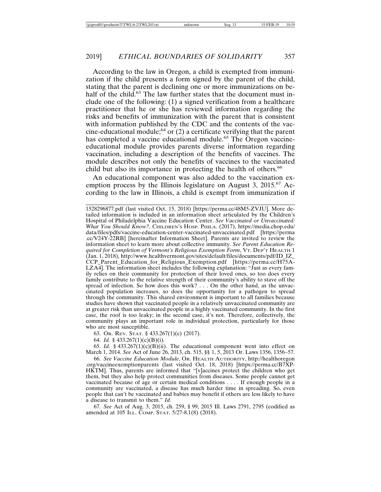According to the law in Oregon, a child is exempted from immunization if the child presents a form signed by the parent of the child, stating that the parent is declining one or more immunizations on behalf of the child.<sup>63</sup> The law further states that the document must include one of the following: (1) a signed verification from a healthcare practitioner that he or she has reviewed information regarding the risks and benefits of immunization with the parent that is consistent with information published by the CDC and the contents of the vaccine-educational module;<sup>64</sup> or  $(2)$  a certificate verifying that the parent has completed a vaccine educational module.<sup>65</sup> The Oregon vaccineeducational module provides parents diverse information regarding vaccination, including a description of the benefits of vaccines. The module describes not only the benefits of vaccines to the vaccinated child but also its importance in protecting the health of others.<sup>66</sup>

An educational component was also added to the vaccination exemption process by the Illinois legislature on August 3, 2015.<sup>67</sup> According to the law in Illinois, a child is exempt from immunization if

1528296877.pdf (last visited Oct. 15, 2018) [https://perma.cc/48M5-ZVJU]. More detailed information is included in an information sheet articulated by the Children's Hospital of Philadelphia Vaccine Education Center. *See Vaccinated or Unvaccinated: What You Should Know?*, CHILDREN'S HOSP. PHILA. (2017), https://media.chop.edu/ data/files/pdfs/vaccine-education-center-vaccinated-unvaccinated.pdf [https://perma .cc/V24Y-22RB] [hereinafter Information Sheet]. Parents are invited to review the information sheet to learn more about collective immunity. *See Parent Education Required for Completion of Vermont's Religious Exemption Form*, VT. DEP'T HEALTH 1 (Jan. 1, 2018), http://www.healthvermont.gov/sites/default/files/documents/pdf/ID\_IZ\_ CCP\_Parent\_Education\_for\_Religious\_Exemption.pdf [https://perma.cc/H75A-LZA4]. The information sheet includes the following explanation: "Just as every family relies on their community for protection of their loved ones, so too does every family contribute to the relative strength of their community's ability to stave off the spread of infection. So how does this work? . . . On the other hand, as the unvaccinated population increases, so does the opportunity for a pathogen to spread through the community. This shared environment is important to all families because studies have shown that vaccinated people in a relatively unvaccinated community are at greater risk than unvaccinated people in a highly vaccinated community. In the first case, the roof is too leaky; in the second case, it's not. Therefore, collectively, the community plays an important role in individual protection, particularly for those who are most susceptible.

63. OR. REV. STAT. § 433.267(1)(c) (2017).

64. *Id.* § 433.267(1)(c)(B)(i).

65. *Id.* § 433.267(1)(c)(B)(ii). The educational component went into effect on March 1, 2014. *See* Act of June 26, 2013, ch. 515, §§ 1, 5, 2013 Or. Laws 1356, 1356–57.

66. *See Vaccine Education Module*, OR. HEALTH AUTHORITY, http://healthoregon .org/vaccineexemptionparents (last visited Oct. 18, 2018) [https://perma.cc/B7XP-HKTM]. Thus, parents are informed that "[v]accines protect the children who get them, but they also help protect communities from diseases. Some people cannot get vaccinated because of age or certain medical conditions . . . . If enough people in a community are vaccinated, a disease has much harder time in spreading. So, even people that can't be vaccinated and babies may benefit if others are less likely to have a disease to transmit to them." *Id.*

67. *See* Act of Aug. 3, 2015, ch. 259, § 99, 2015 Ill. Laws 2791, 2795 (codified as amended at 105 ILL. COMP. STAT. 5/27-8.1(8) (2018).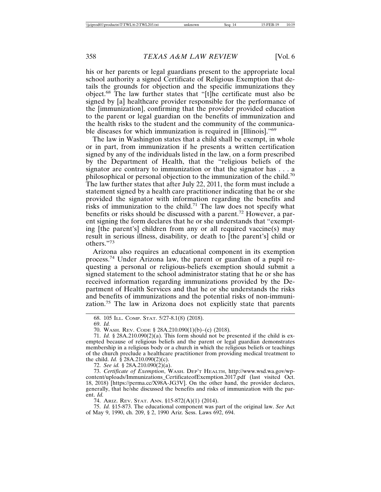his or her parents or legal guardians present to the appropriate local school authority a signed Certificate of Religious Exemption that details the grounds for objection and the specific immunizations they object.68 The law further states that "[t]he certificate must also be signed by [a] healthcare provider responsible for the performance of the [immunization], confirming that the provider provided education to the parent or legal guardian on the benefits of immunization and the health risks to the student and the community of the communicable diseases for which immunization is required in [Illinois]."<sup>69</sup>

The law in Washington states that a child shall be exempt, in whole or in part, from immunization if he presents a written certification signed by any of the individuals listed in the law, on a form prescribed by the Department of Health, that the "religious beliefs of the signator are contrary to immunization or that the signator has . . . a philosophical or personal objection to the immunization of the child.70 The law further states that after July 22, 2011, the form must include a statement signed by a health care practitioner indicating that he or she provided the signator with information regarding the benefits and risks of immunization to the child.<sup>71</sup> The law does not specify what benefits or risks should be discussed with a parent.72 However, a parent signing the form declares that he or she understands that "exempting [the parent's] children from any or all required vaccine(s) may result in serious illness, disability, or death to [the parent's] child or others."<sup>73</sup>

Arizona also requires an educational component in its exemption process.74 Under Arizona law, the parent or guardian of a pupil requesting a personal or religious-beliefs exemption should submit a signed statement to the school administrator stating that he or she has received information regarding immunizations provided by the Department of Health Services and that he or she understands the risks and benefits of immunizations and the potential risks of non-immunization.75 The law in Arizona does not explicitly state that parents

72. *See id.* § 28A.210.090(2)(a).

73. *Certificate of Exemption*, WASH. DEP'T HEALTH, http://www.wsd.wa.gov/wpcontent/uploads/Immunizations\_CertificateofExemption.2017.pdf (last visited Oct. 18, 2018) [https://perma.cc/X98A-JG3V]. On the other hand, the provider declares, generally, that he/she discussed the benefits and risks of immunization with the parent. *Id.*

74. ARIZ. REV. STAT. ANN. §15-872(A)(1) (2014).

75. *Id.* §15-873. The educational component was part of the original law. *See* Act of May 9, 1990, ch. 209, § 2, 1990 Ariz. Sess. Laws 692, 694.

<sup>68. 105</sup> ILL. COMP. STAT. 5/27-8.1(8) (2018).

<sup>69.</sup> *Id.*

<sup>70.</sup> WASH. REV. CODE § 28A.210.090(1)(b)–(c) (2018).

<sup>71.</sup> *Id.* § 28A.210.090(2)(a). This form should not be presented if the child is exempted because of religious beliefs and the parent or legal guardian demonstrates membership in a religious body or a church in which the religious beliefs or teachings of the church preclude a healthcare practitioner from providing medical treatment to the child. *Id.* § 28A.210.090(2)(c).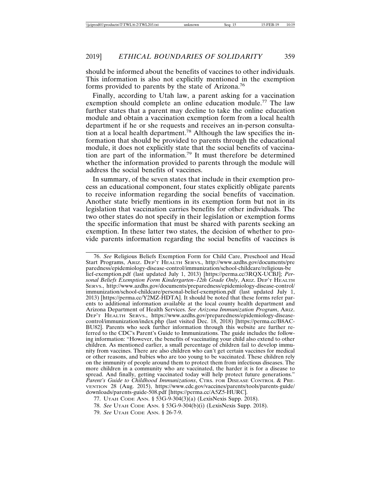should be informed about the benefits of vaccines to other individuals. This information is also not explicitly mentioned in the exemption forms provided to parents by the state of Arizona.<sup>76</sup>

Finally, according to Utah law, a parent asking for a vaccination exemption should complete an online education module.<sup>77</sup> The law further states that a parent may decline to take the online education module and obtain a vaccination exemption form from a local health department if he or she requests and receives an in-person consultation at a local health department.78 Although the law specifies the information that should be provided to parents through the educational module, it does not explicitly state that the social benefits of vaccination are part of the information.79 It must therefore be determined whether the information provided to parents through the module will address the social benefits of vaccines.

In summary, of the seven states that include in their exemption process an educational component, four states explicitly obligate parents to receive information regarding the social benefits of vaccination. Another state briefly mentions in its exemption form but not in its legislation that vaccination carries benefits for other individuals. The two other states do not specify in their legislation or exemption forms the specific information that must be shared with parents seeking an exemption. In these latter two states, the decision of whether to provide parents information regarding the social benefits of vaccines is

<sup>76.</sup> *See* Religious Beliefs Exemption Form for Child Care, Preschool and Head Start Programs, ARIZ. DEP'T HEALTH SERVS., http://www.azdhs.gov/documents/pre paredness/epidemiology-disease-control/immunization/school-childcare/religious-be lief-exemption.pdf (last updated July 1, 2013) [https://perma.cc/3RQX-UCBJ]; *Personal Beliefs Exemption Form Kindergarten–12th Grade Only*, ARIZ. DEP'T HEALTH SERVS., http://www.azdhs.gov/documents/preparedness/epidemiology-disease-control/ immunization/school-childcare/personal-belief-exemption.pdf (last updated July 1, 2013) [https://perma.cc/Y2MZ-HDTA]. It should be noted that these forms refer parents to additional information available at the local county health department and Arizona Department of Health Services. *See Arizona Immunization Program*, ARIZ. DEP'T HEALTH SERVS., https://www.azdhs.gov/preparedness/epidemiology-diseasecontrol/immunization/index.php (last visited Dec. 18, 2018) [https://perma.cc/B8AC-BU82]. Parents who seek further information through this website are further referred to the CDC's Parent's Guide to Immunizations. The guide includes the following information: "However, the benefits of vaccinating your child also extend to other children. As mentioned earlier, a small percentage of children fail to develop immunity from vaccines. There are also children who can't get certain vaccines for medical or other reasons, and babies who are too young to be vaccinated. These children rely on the immunity of people around them to protect them from infectious diseases. The more children in a community who are vaccinated, the harder it is for a disease to spread. And finally, getting vaccinated today will help protect future generations." *Parent's Guide to Childhood Immunizations*, CTRS. FOR DISEASE CONTROL & PRE-VENTION 28 (Aug. 2015), https://www.cdc.gov/vaccines/parents/tools/parents-guide/ downloads/parents-guide-508.pdf [https://perma.cc/A5Z5-HURC].

<sup>77.</sup> UTAH CODE ANN. § 53G-9-304(3)(a) (LexisNexis Supp. 2018).

<sup>78.</sup> *See* UTAH CODE ANN. § 53G-9-304(b)(i) (LexisNexis Supp. 2018).

<sup>79.</sup> *See* UTAH CODE ANN. § 26-7-9.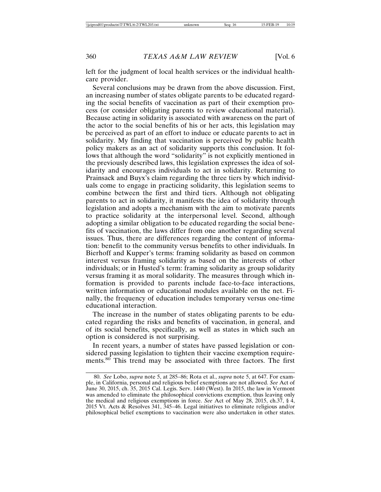left for the judgment of local health services or the individual healthcare provider.

Several conclusions may be drawn from the above discussion. First, an increasing number of states obligate parents to be educated regarding the social benefits of vaccination as part of their exemption process (or consider obligating parents to review educational material). Because acting in solidarity is associated with awareness on the part of the actor to the social benefits of his or her acts, this legislation may be perceived as part of an effort to induce or educate parents to act in solidarity. My finding that vaccination is perceived by public health policy makers as an act of solidarity supports this conclusion. It follows that although the word "solidarity" is not explicitly mentioned in the previously described laws, this legislation expresses the idea of solidarity and encourages individuals to act in solidarity. Returning to Prainsack and Buyx's claim regarding the three tiers by which individuals come to engage in practicing solidarity, this legislation seems to combine between the first and third tiers. Although not obligating parents to act in solidarity, it manifests the idea of solidarity through legislation and adopts a mechanism with the aim to motivate parents to practice solidarity at the interpersonal level. Second, although adopting a similar obligation to be educated regarding the social benefits of vaccination, the laws differ from one another regarding several issues. Thus, there are differences regarding the content of information: benefit to the community versus benefits to other individuals. In Bierhoff and Kupper's terms: framing solidarity as based on common interest versus framing solidarity as based on the interests of other individuals; or in Husted's term: framing solidarity as group solidarity versus framing it as moral solidarity. The measures through which information is provided to parents include face-to-face interactions, written information or educational modules available on the net. Finally, the frequency of education includes temporary versus one-time educational interaction.

The increase in the number of states obligating parents to be educated regarding the risks and benefits of vaccination, in general, and of its social benefits, specifically, as well as states in which such an option is considered is not surprising.

In recent years, a number of states have passed legislation or considered passing legislation to tighten their vaccine exemption requirements.80 This trend may be associated with three factors. The first

<sup>80.</sup> *See* Lobo, *supra* note 5, at 285–86; Rota et al., *supra* note 5, at 647. For example, in California, personal and religious belief exemptions are not allowed. *See* Act of June 30, 2015, ch. 35, 2015 Cal. Legis. Serv. 1440 (West). In 2015, the law in Vermont was amended to eliminate the philosophical convictions exemption, thus leaving only the medical and religious exemptions in force. *See* Act of May 28, 2015, ch.37, § 4, 2015 Vt. Acts & Resolves 341, 345–46. Legal initiatives to eliminate religious and/or philosophical belief exemptions to vaccination were also undertaken in other states.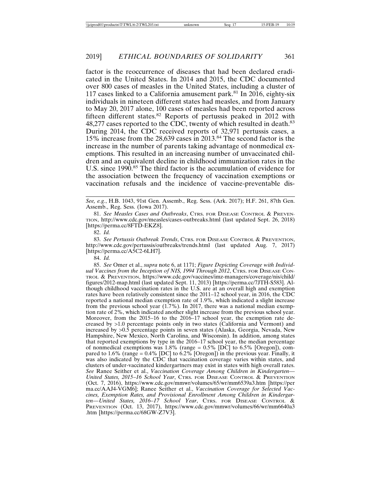factor is the reoccurrence of diseases that had been declared eradicated in the United States. In 2014 and 2015, the CDC documented over 800 cases of measles in the United States, including a cluster of 117 cases linked to a California amusement park. $81$  In 2016, eighty-six individuals in nineteen different states had measles, and from January to May 20, 2017 alone, 100 cases of measles had been reported across fifteen different states.<sup>82</sup> Reports of pertussis peaked in 2012 with 48,277 cases reported to the CDC, twenty of which resulted in death.<sup>83</sup> During 2014, the CDC received reports of 32,971 pertussis cases, a 15% increase from the 28,639 cases in 2013.84 The second factor is the increase in the number of parents taking advantage of nonmedical exemptions. This resulted in an increasing number of unvaccinated children and an equivalent decline in childhood immunization rates in the U.S. since 1990.<sup>85</sup> The third factor is the accumulation of evidence for the association between the frequency of vaccination exemptions or vaccination refusals and the incidence of vaccine-preventable dis-

*See, e.g.*, H.B. 1043, 91st Gen. Assemb., Reg. Sess. (Ark. 2017); H.F. 261, 87th Gen. Assemb., Reg. Sess. (Iowa 2017).

81. *See Measles Cases and Outbreaks*, CTRS. FOR DISEASE CONTROL & PREVEN-TION, http://www.cdc.gov/measles/cases-outbreaks.html (last updated Sept. 26, 2018) [https://perma.cc/8FTD-EKZ8].

82. *Id.*

83. *See Pertussis Outbreak Trends*, CTRS. FOR DISEASE CONTROL & PREVENTION, http://www.cdc.gov/pertussis/outbreaks/trends.html (last updated Aug. 7, 2017) [https://perma.cc/A5C2-6LH7].

84. *Id.*

85. *See* Omer et al., *supra* note 6, at 1171; *Figure Depicting Coverage with Individual Vaccines from the Inception of NIS, 1994 Through 2012*, CTRS. FOR DISEASE CON-TROL & PREVENTION, https://www.cdc.gov/vaccines/imz-managers/coverage/nis/child/ figures/2012-map.html (last updated Sept. 11, 2013) [https://perma.cc/7JTH-S583]. Although childhood vaccination rates in the U.S. are at an overall high and exemption rates have been relatively consistent since the 2011–12 school year, in 2016, the CDC reported a national median exemption rate of 1.9%, which indicated a slight increase from the previous school year  $(1.7\%)$ . In 2017, there was a national median exemption rate of 2%, which indicated another slight increase from the previous school year. Moreover, from the 2015–16 to the 2016–17 school year, the exemption rate decreased by >1.0 percentage points only in two states (California and Vermont) and increased by >0.5 percentage points in seven states (Alaska, Georgia, Nevada, New Hampshire, New Mexico, North Carolina, and Wisconsin). In addition, among states that reported exemptions by type in the 2016–17 school year, the median percentage of nonmedical exemptions was 1.8% (range = 0.5% [DC] to 6.5% [Oregon]), compared to 1.6% (range = 0.4% [DC] to 6.2% [Oregon]) in the previous year. Finally, it was also indicated by the CDC that vaccination coverage varies within states, and clusters of under-vaccinated kindergartners may exist in states with high overall rates. *See* Ranee Seither et al., *Vaccination Coverage Among Children in Kindergarten— United States, 2015–16 School Year*, CTRS. FOR DISEASE CONTROL & PREVENTION (Oct. 7, 2016), https://www.cdc.gov/mmwr/volumes/65/wr/mm6539a3.htm [https://per ma.cc/AAJ4-VGM6]; Ranee Seither et al., *Vaccination Coverage for Selected Vaccines, Exemption Rates, and Provisional Enrollment Among Children in Kindergarten—United States, 2016–17 School Year*, CTRS. FOR DISEASE CONTROL & PREVENTION (Oct. 13, 2017), https://www.cdc.gov/mmwr/volumes/66/wr/mm6640a3 .htm [https://perma.cc/68GW-Z7V3].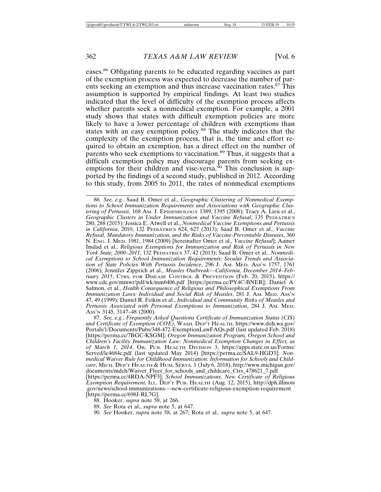eases.86 Obligating parents to be educated regarding vaccines as part of the exemption process was expected to decrease the number of parents seeking an exemption and thus increase vaccination rates.<sup>87</sup> This assumption is supported by empirical findings. At least two studies indicated that the level of difficulty of the exemption process affects whether parents seek a nonmedical exemption. For example, a 2001 study shows that states with difficult exemption policies are more likely to have a lower percentage of children with exemptions than states with an easy exemption policy.88 The study indicates that the complexity of the exemption process, that is, the time and effort required to obtain an exemption, has a direct effect on the number of parents who seek exemptions to vaccination.<sup>89</sup> Thus, it suggests that a difficult exemption policy may discourage parents from seeking exemptions for their children and vise-versa.<sup>90</sup> This conclusion is supported by the findings of a second study, published in 2012. According to this study, from 2005 to 2011, the rates of nonmedical exemptions

86. *See, e.g.*, Saad B. Omer et al., *Geographic Clustering of Nonmedical Exemptions to School Immunization Requirements and Associations with Geographic Clustering of Pertussis*, 168 AM. J. EPIDEMIOLOGY 1389, 1395 (2008); Tracy A. Lieu et al., *Geographic Clusters in Under Immunization and Vaccine Refusal*, 135 PEDIATRICS 280, 288 (2015); Jessica E. Atwell et al., *Nonmedical Vaccine Exemptions and Pertussis in California*, 2010, 132 PEDIATRICS 624, 627 (2013); Saad B. Omer et al., *Vaccine Refusal, Mandatory Immunization, and the Risks of Vaccine-Preventable Diseases*, 360 N. ENG. J. MED. 1981, 1984 (2009) [hereinafter Omer et al., *Vaccine Refusal*]; Aamer Imdad et al., *Religious Exemptions for Immunization and Risk of Pertussis in New York State, 2000–2011*, 132 PEDIATRICS 37, 42 (2013); Saad B. Omer et al., *Nonmedical Exemptions to School Immunization Requirements: Secular Trends and Association of State Policies With Pertussis Incidence*, 296 J. AM. MED. ASS'N 1757, 1761 (2006); Jennifer Zipprich at al., *Measles Outbreak—California, December 2014–February 2015*, CTRS. FOR DISEASE CONTROL & PREVENTION (Feb. 20, 2015), https:// www.cdc.gov/mmwr/pdf/wk/mm6406.pdf [https://perma.cc/PY4C-BNER]; Daniel A. Salmon, et al., *Health Consequence of Religious and Philosophical Exemptions From Immunization Laws: Individual and Social Risk of Measles*, 281 J. AM. MED. ASS'N 47, 49 (1999); Daniel R. Feikin et al., *Individual and Community Risks of Measles and Pertussis Associated with Personal Exemptions to Immunization*, 284 J. AM. MED. ASS'N 3145, 3147–48 (2000).

87. *See, e.g.*, *Frequently Asked Questions Certificate of Immunization Status (CIS) and Certificate of Exemption (COE)*, WASH. DEP'T HEALTH, https://www.doh.wa.gov/ Portals/1/Documents/Pubs/348-472-ExemptionLawFAQs.pdf (last updated Feb. 2018) [https://perma.cc/7BGC-KSGM]; *Oregon Immunization Program, Oregon School and Children's Facility Immunization Law: Nonmedical Exemption Changes in Effect, as of March 1, 2014*, OR. PUB. HEALTH DIVISION 3, https://apps.state.or.us/Forms/ Served/le4684c.pdf (last updated May 2014) [https://perma.cc/SAL9-HGD3]; *Nonmedical Waiver Rule for Childhood Immunization: Information for Schools and Childcare*, MICH. DEP'T HEALTH & HUM. SERVS. 1 (July 6, 2018), http://www.michigan.gov/ documents/mdch/Waiver\_Flyer\_for\_schools\_and\_childcare\_Ctrs\_478621\_7.pdf [https://perma.cc/4RDA-NPF3]; *School Immunizations, New Certificate of Religious Exemption Requirement*, ILL. DEP'T PUB. HEALTH (Aug. 12, 2015), http://dph.illinois .gov/news/school-immunizations-–-new-certificate-religious-exemption-requirement [https://perma.cc/698J-RL7G].

- 89. *See* Rota et al., *supra* note 5, at 647.
- 90. *See* Hooker, *supra* note 58, at 267; Rota et al., *supra* note 5, at 647.

<sup>88.</sup> Hooker, *supra* note 58, at 266.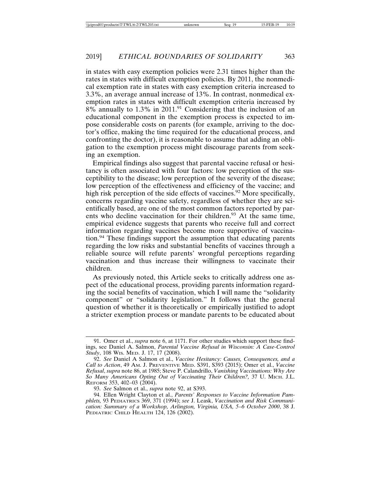in states with easy exemption policies were 2.31 times higher than the rates in states with difficult exemption policies. By 2011, the nonmedical exemption rate in states with easy exemption criteria increased to 3.3%, an average annual increase of 13%. In contrast, nonmedical exemption rates in states with difficult exemption criteria increased by 8% annually to 1.3% in 2011.91 Considering that the inclusion of an educational component in the exemption process is expected to impose considerable costs on parents (for example, arriving to the doctor's office, making the time required for the educational process, and confronting the doctor), it is reasonable to assume that adding an obligation to the exemption process might discourage parents from seeking an exemption.

Empirical findings also suggest that parental vaccine refusal or hesitancy is often associated with four factors: low perception of the susceptibility to the disease; low perception of the severity of the disease; low perception of the effectiveness and efficiency of the vaccine; and high risk perception of the side effects of vaccines.<sup>92</sup> More specifically, concerns regarding vaccine safety, regardless of whether they are scientifically based, are one of the most common factors reported by parents who decline vaccination for their children.<sup>93</sup> At the same time, empirical evidence suggests that parents who receive full and correct information regarding vaccines become more supportive of vaccination.94 These findings support the assumption that educating parents regarding the low risks and substantial benefits of vaccines through a reliable source will refute parents' wrongful perceptions regarding vaccination and thus increase their willingness to vaccinate their children.

As previously noted, this Article seeks to critically address one aspect of the educational process, providing parents information regarding the social benefits of vaccination, which I will name the "solidarity component" or "solidarity legislation." It follows that the general question of whether it is theoretically or empirically justified to adopt a stricter exemption process or mandate parents to be educated about

<sup>91.</sup> Omer et al., *supra* note 6, at 1171. For other studies which support these findings, see Daniel A. Salmon, *Parental Vaccine Refusal in Wisconsin: A Case-Control Study*, 108 WIS. MED. J. 17, 17 (2008).

<sup>92.</sup> *See* Daniel A Salmon et al., *Vaccine Hesitancy: Causes, Consequences, and a Call to Action*, 49 AM. J. PREVENTIVE MED. S391, S393 (2015); Omer et al., *Vaccine Refusal*, *supra* note 86, at 1985; Steve P. Calandrillo, *Vanishing Vaccinations: Why Are So Many Americans Opting Out of Vaccinating Their Children?,* 37 U. MICH. J.L. REFORM 353, 402-03 (2004).

<sup>93.</sup> *See* Salmon et al., *supra* note 92, at S393.

<sup>94.</sup> Ellen Wright Clayton et al., *Parents' Responses to Vaccine Information Pamphlets,* 93 PEDIATRICS 369, 371 (1994); *see* J. Leask, *Vaccination and Risk Communication: Summary of a Workshop, Arlington, Virginia, USA, 5–6 October 2000*, 38 J. PEDIATRIC CHILD HEALTH 124, 126 (2002).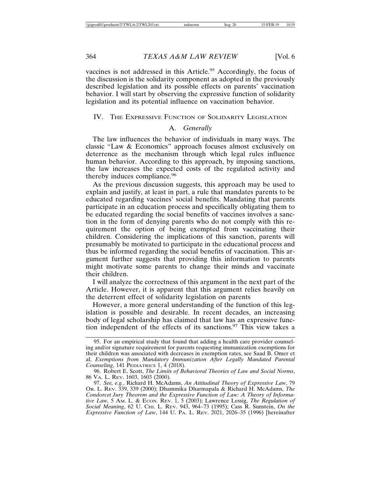vaccines is not addressed in this Article.<sup>95</sup> Accordingly, the focus of the discussion is the solidarity component as adopted in the previously described legislation and its possible effects on parents' vaccination behavior. I will start by observing the expressive function of solidarity legislation and its potential influence on vaccination behavior.

#### IV. THE EXPRESSIVE FUNCTION OF SOLIDARITY LEGISLATION

#### A. *Generally*

The law influences the behavior of individuals in many ways. The classic "Law & Economics" approach focuses almost exclusively on deterrence as the mechanism through which legal rules influence human behavior. According to this approach, by imposing sanctions, the law increases the expected costs of the regulated activity and thereby induces compliance.<sup>96</sup>

As the previous discussion suggests, this approach may be used to explain and justify, at least in part, a rule that mandates parents to be educated regarding vaccines' social benefits. Mandating that parents participate in an education process and specifically obligating them to be educated regarding the social benefits of vaccines involves a sanction in the form of denying parents who do not comply with this requirement the option of being exempted from vaccinating their children. Considering the implications of this sanction, parents will presumably be motivated to participate in the educational process and thus be informed regarding the social benefits of vaccination. This argument further suggests that providing this information to parents might motivate some parents to change their minds and vaccinate their children.

I will analyze the correctness of this argument in the next part of the Article. However, it is apparent that this argument relies heavily on the deterrent effect of solidarity legislation on parents

However, a more general understanding of the function of this legislation is possible and desirable. In recent decades, an increasing body of legal scholarship has claimed that law has an expressive function independent of the effects of its sanctions.<sup>97</sup> This view takes a

<sup>95.</sup> For an empirical study that found that adding a health care provider counseling and/or signature requirement for parents requesting immunization exemptions for their children was associated with decreases in exemption rates, see Saad B. Omer et al, *Exemptions from Mandatory Immunization After Legally Mandated Parental Counseling*, 141 PEDIATRICS 1, 4 (2018).

<sup>96.</sup> Robert E. Scott, *The Limits of Behavioral Theories of Law and Social Norms*, 86 VA. L. REV. 1603, 1603 (2000).

<sup>97.</sup> *See, e.g.*, Richard H. McAdams, *An Attitudinal Theory of Expressive Law*, 79 OR. L. REV. 339, 339 (2000); Dhammika Dharmapala & Richard H. McAdams, *The Condorcet Jury Theorem and the Expressive Function of Law: A Theory of Informative Law,* 5 AM. L. & ECON. REV. 1, 5 (2003); Lawrence Lessig, *The Regulation of Social Meaning*, 62 U. CHI. L. REV. 943, 964–73 (1995); Cass R. Sunstein, *On the Expressive Function of Law*, 144 U. PA. L. REV. 2021, 2026–35 (1996) [hereinafter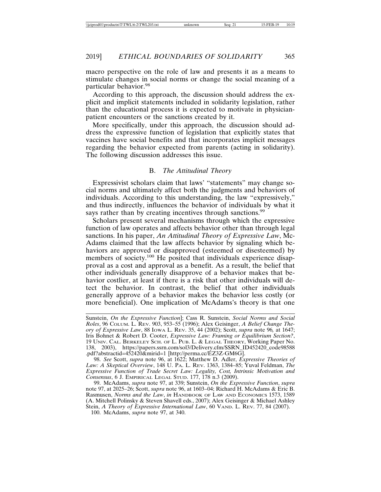macro perspective on the role of law and presents it as a means to stimulate changes in social norms or change the social meaning of a particular behavior.<sup>98</sup>

According to this approach, the discussion should address the explicit and implicit statements included in solidarity legislation, rather than the educational process it is expected to motivate in physicianpatient encounters or the sanctions created by it.

More specifically, under this approach, the discussion should address the expressive function of legislation that explicitly states that vaccines have social benefits and that incorporates implicit messages regarding the behavior expected from parents (acting in solidarity). The following discussion addresses this issue.

#### B. *The Attitudinal Theory*

Expressivist scholars claim that laws' "statements" may change social norms and ultimately affect both the judgments and behaviors of individuals. According to this understanding, the law "expressively," and thus indirectly, influences the behavior of individuals by what it says rather than by creating incentives through sanctions.<sup>99</sup>

Scholars present several mechanisms through which the expressive function of law operates and affects behavior other than through legal sanctions. In his paper, *An Attitudinal Theory of Expressive Law*, Mc-Adams claimed that the law affects behavior by signaling which behaviors are approved or disapproved (esteemed or disesteemed) by members of society.<sup>100</sup> He posited that individuals experience disapproval as a cost and approval as a benefit. As a result, the belief that other individuals generally disapprove of a behavior makes that behavior costlier, at least if there is a risk that other individuals will detect the behavior. In contrast, the belief that other individuals generally approve of a behavior makes the behavior less costly (or more beneficial). One implication of McAdams's theory is that one

98. *See* Scott, *supra* note 96, at 1622; Matthew D. Adler, *Expressive Theories of Law: A Skeptical Overview*, 148 U. PA. L. REV. 1363, 1384–85; Yuval Feldman, *The Expressive Function of Trade Secret Law: Legality, Cost, Intrinsic Motivation and Consensus*, 6 J. EMPIRICAL LEGAL STUD. 177, 178 n.3 (2009).

Sunstein, *On the Expressive Function*]; Cass R. Sunstein, *Social Norms and Social Roles*, 96 COLUM. L. REV. 903, 953–55 (1996); Alex Geisinger, *A Belief Change Theory of Expressive Law*, 88 IOWA L. REV. 35, 44 (2002); Scott, *supra* note 96*,* at 1647; Iris Bohnet & Robert D. Cooter, *Expressive Law: Framing or Equilibrium Section?*, 19 UNIV. CAL. BERKELEY SCH. OF L. PUB. L. & LEGAL THEORY, Working Paper No. 138, 2003), https://papers.ssrn.com/sol3/Delivery.cfm/SSRN\_ID452420\_code98588 .pdf?abstractid=452420&mirid=1 [http://perma.cc/EZ3Z-GM6G].

<sup>99.</sup> McAdams, *supra* note 97, at 339; Sunstein, *On the Expressive Function*, *supra* note 97, at 2025–26; Scott, *supra* note 96, at 1603–04; Richard H. McAdams & Eric B. Rasmusen, *Norms and the Law*, *in* HANDBOOK OF LAW AND ECONOMICS 1573, 1589 (A. Mitchell Polinsky & Steven Shavell eds., 2007); Alex Geisinger & Michael Ashley Stein, *A Theory of Expressive International Law*, 60 VAND. L. REV. 77, 84 (2007). 100. McAdams, *supra* note 97, at 340.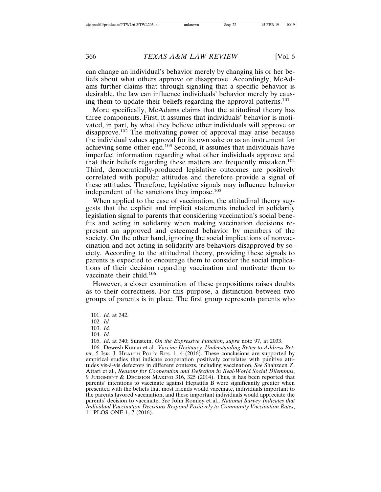can change an individual's behavior merely by changing his or her beliefs about what others approve or disapprove. Accordingly, McAdams further claims that through signaling that a specific behavior is desirable, the law can influence individuals' behavior merely by causing them to update their beliefs regarding the approval patterns.<sup>101</sup>

More specifically, McAdams claims that the attitudinal theory has three components. First, it assumes that individuals' behavior is motivated, in part, by what they believe other individuals will approve or disapprove.<sup>102</sup> The motivating power of approval may arise because the individual values approval for its own sake or as an instrument for achieving some other end.103 Second, it assumes that individuals have imperfect information regarding what other individuals approve and that their beliefs regarding these matters are frequently mistaken.<sup>104</sup> Third, democratically-produced legislative outcomes are positively correlated with popular attitudes and therefore provide a signal of these attitudes. Therefore, legislative signals may influence behavior independent of the sanctions they impose.<sup>105</sup>

When applied to the case of vaccination, the attitudinal theory suggests that the explicit and implicit statements included in solidarity legislation signal to parents that considering vaccination's social benefits and acting in solidarity when making vaccination decisions represent an approved and esteemed behavior by members of the society. On the other hand, ignoring the social implications of nonvaccination and not acting in solidarity are behaviors disapproved by society. According to the attitudinal theory, providing these signals to parents is expected to encourage them to consider the social implications of their decision regarding vaccination and motivate them to vaccinate their child.<sup>106</sup>

However, a closer examination of these propositions raises doubts as to their correctness. For this purpose, a distinction between two groups of parents is in place. The first group represents parents who

105. *Id*. at 340; Sunstein, *On the Expressive Function*, *supra* note 97, at 2033.

106. Dewesh Kumar et al., *Vaccine Hesitancy: Understanding Better to Address Better*, 5 ISR. J. HEALTH POL'Y RES. 1, 4 (2016). These conclusions are supported by empirical studies that indicate cooperation positively correlates with punitive attitudes vis-à-vis defectors in different contexts, including vaccination. *See* Shahzeen Z. Attari et al., *Reasons for Cooperation and Defection in Real-World Social Dilemmas*, 9 JUDGMENT & DECISION MAKING 316, 325 (2014). Thus, it has been reported that parents' intentions to vaccinate against Hepatitis B were significantly greater when presented with the beliefs that most friends would vaccinate, individuals important to the parents favored vaccination, and these important individuals would appreciate the parents' decision to vaccinate. *See* John Romley et al., *National Survey Indicates that Individual Vaccination Decisions Respond Positively to Community Vaccination Rates*, 11 PLOS ONE 1, 7 (2016).

<sup>101.</sup> *Id.* at 342.

<sup>102.</sup> *Id.*

<sup>103.</sup> *Id.*

<sup>104.</sup> *Id.*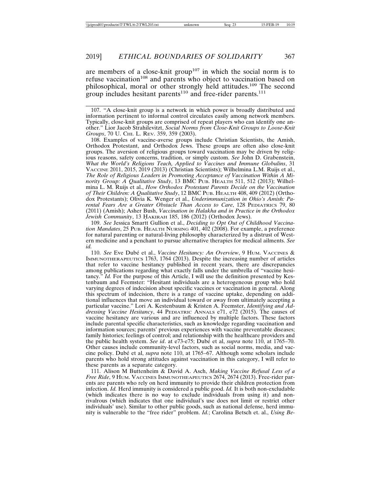are members of a close-knit group<sup>107</sup> in which the social norm is to refuse vaccination<sup>108</sup> and parents who object to vaccination based on philosophical, moral or other strongly held attitudes.109 The second group includes hesitant parents<sup>110</sup> and free-rider parents.<sup>111</sup>

107. "A close-knit group is a network in which power is broadly distributed and information pertinent to informal control circulates easily among network members. Typically, close-knit groups are comprised of repeat players who can identify one another." Lior Jacob Strahilevitzt, *Social Norms from Close-Knit Groups to Loose-Knit Groups*, 70 U. CHI. L. REV. 359, 359 (2003).

108. Examples of vaccine-averse groups include Christian Scientists, the Amish, Orthodox Protestant, and Orthodox Jews. These groups are often also close-knit groups. The aversion of religious groups toward vaccination may be driven by religious reasons, safety concerns, tradition, or simply custom. *See* John D. Grabenstein, *What the World's Religions Teach, Applied to Vaccines and Immune Globulins*, 31 VACCINE 2011, 2015, 2019 (2013) (Christian Scientists); Wilhelmina L.M. Ruijs et al., *The Role of Religious Leaders in Promoting Acceptance of Vaccination Within A Minority Group: A Qualitative Study*, 13 BMC PUB. HEALTH 511, 512 (2013); Wilhelmina L. M. Ruijs et al., *How Orthodox Protestant Parents Decide on the Vaccination of Their Children: A Qualitative Study*, 12 BMC PUB. HEALTH 408, 409 (2012) (Orthodox Protestants); Olivia K. Wenger et al., *Underimmunization in Ohio's Amish: Parental Fears Are a Greater Obstacle Than Access to Care*, 128 PEDIATRICS 79, 80 (2011) (Amish); Asher Bush, *Vaccination in Halakha and in Practice in the Orthodox Jewish Community*, 13 HAKIRAH 185, 186 (2012) (Orthodox Jews).

109. *See* Jessica Smartt Gullion et al., *Deciding to Opt Out of Childhood Vaccination Mandates*, 25 PUB. HEALTH NURSING 401, 402 (2008). For example, a preference for natural parenting or natural-living philosophy characterized by a distrust of Western medicine and a penchant to pursue alternative therapies for medical ailments. *See id.*

110. *See* Eve Dubé et al., *Vaccine Hesitancy: An Overview*, 9 HUM. VACCINES & IMMUNOTHERAPEUTICS 1763, 1764 (2013). Despite the increasing number of articles that refer to vaccine hesitancy published in recent years, there are discrepancies among publications regarding what exactly falls under the umbrella of "vaccine hesitancy." *Id.* For the purpose of this Article, I will use the definition presented by Kestenbaum and Feemster: "Hesitant individuals are a heterogeneous group who hold varying degrees of indecision about specific vaccines or vaccination in general. Along this spectrum of indecision, there is a range of vaccine uptake, depending on additional influences that move an individual toward or away from ultimately accepting a particular vaccine." Lori A. Kestenbaum & Kristen A. Feemster, *Identifying and Addressing Vaccine Hesitancy*, 44 PEDIATRIC ANNALS e71, e72 (2015). The causes of vaccine hesitancy are various and are influenced by multiple factors. These factors include parental specific characteristics, such as knowledge regarding vaccination and information sources; parents' previous experiences with vaccine preventable diseases; family histories; feelings of control; and relationship with the healthcare providers and the public health system. *See id.* at e73-e75; Dubé et al, *supra* note 110, at 1765–70. Other causes include community-level factors, such as social norms, media, and vaccine policy. Dubé et al, *supra* note 110, at 1765–67. Although some scholars include parents who hold strong attitudes against vaccination in this category, I will refer to these parents as a separate category.

111. Alison M Buttenheim & David A. Asch, *Making Vaccine Refusal Less of a Free Ride*, 9 HUM. VACCINES IMMUNOTHEAPEUTICS 2674, 2674 (2013). Free-rider parents are parents who rely on herd immunity to provide their children protection from infection. *Id.* Herd immunity is considered a public good. *Id.* It is both non-excludable (which indicates there is no way to exclude individuals from using it) and nonrivalrous (which indicates that one individual's use does not limit or restrict other individuals' use). Similar to other public goods, such as national defense, herd immunity is vulnerable to the "free rider" problem. *Id.*; Carolina Betsch et. al., *Using Be-*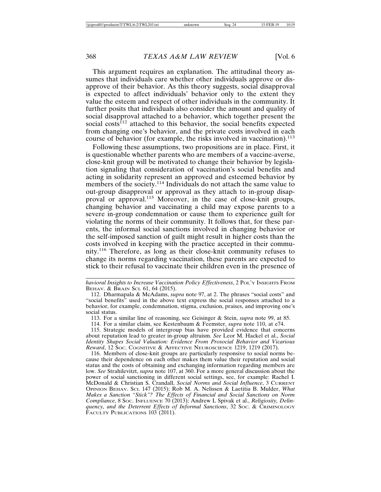This argument requires an explanation. The attitudinal theory assumes that individuals care whether other individuals approve or disapprove of their behavior. As this theory suggests, social disapproval is expected to affect individuals' behavior only to the extent they value the esteem and respect of other individuals in the community. It further posits that individuals also consider the amount and quality of social disapproval attached to a behavior, which together present the social costs<sup> $112$ </sup> attached to this behavior, the social benefits expected from changing one's behavior, and the private costs involved in each course of behavior (for example, the risks involved in vaccination).<sup>113</sup>

Following these assumptions, two propositions are in place. First, it is questionable whether parents who are members of a vaccine-averse, close-knit group will be motivated to change their behavior by legislation signaling that consideration of vaccination's social benefits and acting in solidarity represent an approved and esteemed behavior by members of the society.<sup>114</sup> Individuals do not attach the same value to out-group disapproval or approval as they attach to in-group disapproval or approval.<sup>115</sup> Moreover, in the case of close-knit groups, changing behavior and vaccinating a child may expose parents to a severe in-group condemnation or cause them to experience guilt for violating the norms of their community. It follows that, for these parents, the informal social sanctions involved in changing behavior or the self-imposed sanction of guilt might result in higher costs than the costs involved in keeping with the practice accepted in their community.116 Therefore, as long as their close-knit community refuses to change its norms regarding vaccination, these parents are expected to stick to their refusal to vaccinate their children even in the presence of

*havioral Insights to Increase Vaccination Policy Effectiveness*, 2 POL'Y INSIGHTS FROM BEHAV. & BRAIN SCI. 61, 64 (2015).

<sup>112.</sup> Dharmapala & McAdams, *supra* note 97, at 2. The phrases "social costs" and "social benefits" used in the above text express the social responses attached to a behavior, for example, condemnation, stigma, exclusion, praises, and improving one's social status.

<sup>113.</sup> For a similar line of reasoning, see Geisinger & Stein, *supra* note 99, at 85.

<sup>114.</sup> For a similar claim, see Kestenbaum & Feemster, *supra* note 110, at e74.

<sup>115.</sup> Strategic models of intergroup bias have provided evidence that concerns about reputation lead to greater in-group altruism. *See* Leor M. Hackel et al., *Social Identity Shapes Social Valuation: Evidence From Prosocial Behavior and Vicarious Reward*, 12 SOC. COGNITIVE & AFFECTIVE NEUROSCIENCE 1219, 1219 (2017).

<sup>116.</sup> Members of close-knit groups are particularly responsive to social norms because their dependence on each other makes them value their reputation and social status and the costs of obtaining and exchanging information regarding members are low. *See* Strahilevitzt, *supra* note 107, at 360. For a more general discussion about the power of social sanctioning in different social settings, see, for example: Rachel I. McDonald & Christian S. Crandall, *Social Norms and Social Influence*, 3 CURRENT OPINION BEHAV. SCI. 147 (2015); Rob M. A. Nelissen & Laetitia B. Mulder, *What Makes a Sanction "Stick"? The Effects of Financial and Social Sanctions on Norm Compliance*, 8 SOC. INFLUENCE 70 (2013); Andrew L Spivak et al., *Religiosity, Delinquency, and the Deterrent Effects of Informal Sanctions*, 32 SOC. & CRIMINOLOGY FACULTY PUBLICATIONS 103 (2011).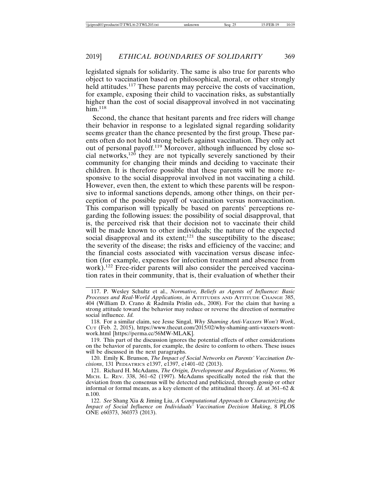legislated signals for solidarity. The same is also true for parents who object to vaccination based on philosophical, moral, or other strongly held attitudes.<sup>117</sup> These parents may perceive the costs of vaccination, for example, exposing their child to vaccination risks, as substantially higher than the cost of social disapproval involved in not vaccinating him $118$ 

Second, the chance that hesitant parents and free riders will change their behavior in response to a legislated signal regarding solidarity seems greater than the chance presented by the first group. These parents often do not hold strong beliefs against vaccination. They only act out of personal payoff.119 Moreover, although influenced by close social networks,120 they are not typically severely sanctioned by their community for changing their minds and deciding to vaccinate their children. It is therefore possible that these parents will be more responsive to the social disapproval involved in not vaccinating a child. However, even then, the extent to which these parents will be responsive to informal sanctions depends, among other things, on their perception of the possible payoff of vaccination versus nonvaccination. This comparison will typically be based on parents' perceptions regarding the following issues: the possibility of social disapproval, that is, the perceived risk that their decision not to vaccinate their child will be made known to other individuals; the nature of the expected social disapproval and its extent;<sup>121</sup> the susceptibility to the disease; the severity of the disease; the risks and efficiency of the vaccine; and the financial costs associated with vaccination versus disease infection (for example, expenses for infection treatment and absence from work).<sup>122</sup> Free-rider parents will also consider the perceived vaccination rates in their community, that is, their evaluation of whether their

119. This part of the discussion ignores the potential effects of other considerations on the behavior of parents, for example, the desire to conform to others. These issues will be discussed in the next paragraphs.

120. Emily K. Brunson, *The Impact of Social Networks on Parents' Vaccination Decisions*, 131 PEDIATRICS e1397, e1397, e1401–02 (2013).

<sup>117.</sup> P. Wesley Schultz et al., *Normative, Beliefs as Agents of Influence: Basic Processes and Real-World Applications*, *in* ATTITUDES AND ATTITUDE CHANGE 385, 404 (William D. Crano & Radmila Prislin eds., 2008). For the claim that having a strong attitude toward the behavior may reduce or reverse the direction of normative social influence. *Id.*

<sup>118.</sup> For a similar claim, see Jesse Singal, *Why Shaming Anti-Vaxxers Won't Work*, CUT (Feb. 2, 2015), https://www.thecut.com/2015/02/why-shaming-anti-vaxxers-wontwork.html [https://perma.cc/56MW-MLAK].

<sup>121.</sup> Richard H. McAdams, *The Origin, Development and Regulation of Norms*, 96 MICH. L. REV. 338, 361–62 (1997). McAdams specifically noted the risk that the deviation from the consensus will be detected and publicized, through gossip or other informal or formal means, as a key element of the attitudinal theory.  $\vec{I}d$ . at 361–62 & n.100.

<sup>122.</sup> *See* Shang Xia & Jiming Liu, *A Computational Approach to Characterizing the Impact of Social Influence on Individuals' Vaccination Decision Making*, 8 PLOS ONE e60373, 360373 (2013).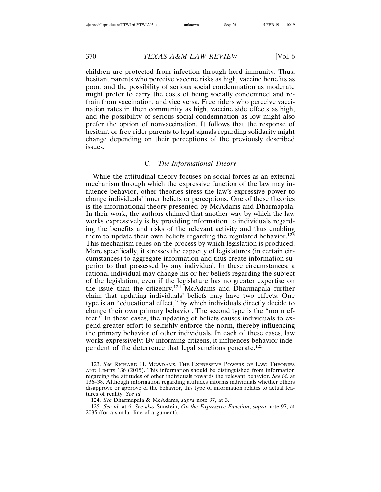children are protected from infection through herd immunity. Thus, hesitant parents who perceive vaccine risks as high, vaccine benefits as poor, and the possibility of serious social condemnation as moderate might prefer to carry the costs of being socially condemned and refrain from vaccination, and vice versa. Free riders who perceive vaccination rates in their community as high, vaccine side effects as high, and the possibility of serious social condemnation as low might also prefer the option of nonvaccination. It follows that the response of hesitant or free rider parents to legal signals regarding solidarity might change depending on their perceptions of the previously described issues.

#### C. *The Informational Theory*

While the attitudinal theory focuses on social forces as an external mechanism through which the expressive function of the law may influence behavior, other theories stress the law's expressive power to change individuals' inner beliefs or perceptions. One of these theories is the informational theory presented by McAdams and Dharmapala. In their work, the authors claimed that another way by which the law works expressively is by providing information to individuals regarding the benefits and risks of the relevant activity and thus enabling them to update their own beliefs regarding the regulated behavior.<sup>123</sup> This mechanism relies on the process by which legislation is produced. More specifically, it stresses the capacity of legislatures (in certain circumstances) to aggregate information and thus create information superior to that possessed by any individual. In these circumstances, a rational individual may change his or her beliefs regarding the subject of the legislation, even if the legislature has no greater expertise on the issue than the citizenry.124 McAdams and Dharmapala further claim that updating individuals' beliefs may have two effects. One type is an "educational effect," by which individuals directly decide to change their own primary behavior. The second type is the "norm effect." In these cases, the updating of beliefs causes individuals to expend greater effort to selfishly enforce the norm, thereby influencing the primary behavior of other individuals. In each of these cases, law works expressively: By informing citizens, it influences behavior independent of the deterrence that legal sanctions generate.<sup>125</sup>

<sup>123.</sup> *See* RICHARD H. MCADAMS, THE EXPRESSIVE POWERS OF LAW: THEORIES AND LIMITS 136 (2015). This information should be distinguished from information regarding the attitudes of other individuals towards the relevant behavior. *See id*. at 136–38. Although information regarding attitudes informs individuals whether others disapprove or approve of the behavior, this type of information relates to actual features of reality. *See id.*

<sup>124.</sup> *See* Dharmapala & McAdams, *supra* note 97, at 3.

<sup>125.</sup> *See id.* at 6. *See also* Sunstein, *On the Expressive Function*, *supra* note 97, at 2035 (for a similar line of argument).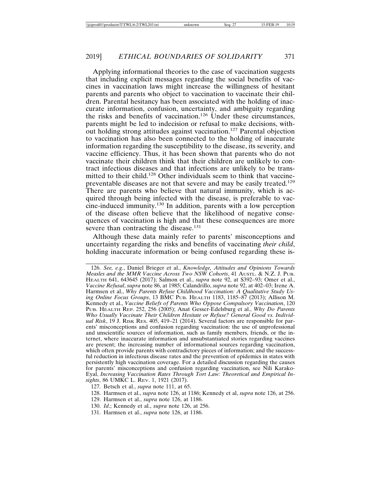Applying informational theories to the case of vaccination suggests that including explicit messages regarding the social benefits of vaccines in vaccination laws might increase the willingness of hesitant parents and parents who object to vaccination to vaccinate their children. Parental hesitancy has been associated with the holding of inaccurate information, confusion, uncertainty, and ambiguity regarding the risks and benefits of vaccination.126 Under these circumstances, parents might be led to indecision or refusal to make decisions, without holding strong attitudes against vaccination.127 Parental objection to vaccination has also been connected to the holding of inaccurate information regarding the susceptibility to the disease, its severity, and vaccine efficiency. Thus, it has been shown that parents who do not vaccinate their children think that their children are unlikely to contract infectious diseases and that infections are unlikely to be transmitted to their child.128 Other individuals seem to think that vaccinepreventable diseases are not that severe and may be easily treated.129 There are parents who believe that natural immunity, which is acquired through being infected with the disease, is preferable to vaccine-induced immunity.130 In addition, parents with a low perception of the disease often believe that the likelihood of negative consequences of vaccination is high and that these consequences are more severe than contracting the disease.<sup>131</sup>

Although these data mainly refer to parents' misconceptions and uncertainty regarding the risks and benefits of vaccinating *their child*, holding inaccurate information or being confused regarding these is-

126. *See, e.g.*, Daniel Brieger et al., *Knowledge, Attitudes and Opinions Towards Measles and the MMR Vaccine Across Two NSW Cohorts*, 41 AUSTL. & N.Z. J. PUB. HEALTH 641, 643645 (2017); Salmon et al., *supra* note 92, at S392–93; Omer et al., *Vaccine Refusal*, *supra* note 86, at 1985; Calandrillo, *supra* note 92, at 402–03; Irene A. Harmsen et al., *Why Parents Refuse Childhood Vaccination: A Qualitative Study Using Online Focus Groups*, 13 BMC PUB. HEALTH 1183, 1185–87 (2013); Allison M. Kennedy et al., *Vaccine Beliefs of Parents Who Oppose Compulsory Vaccination*, 120 PUB. HEALTH REP. 252, 256 (2005); Anat Gesser-Edelsburg et al., *Why Do Parents Who Usually Vaccinate Their Children Hesitate or Refuse? General Good vs. Individual Risk*, 19 J. RISK RES. 405, 419–21 (2014). Several factors are responsible for parents' misconceptions and confusion regarding vaccination: the use of unprofessional and unscientific sources of information, such as family members, friends, or the internet, where inaccurate information and unsubstantiated stories regarding vaccines are present; the increasing number of informational sources regarding vaccination, which often provide parents with contradictory pieces of information; and the successful reduction in infectious disease rates and the prevention of epidemics in states with persistently high vaccination coverage. For a detailed discussion regarding the causes for parents' misconceptions and confusion regarding vaccination, see Nili Karako-Eyal, *Increasing Vaccination Rates Through Tort Law: Theoretical and Empirical Insights*, 86 UMKC L. REV. 1, 1921 (2017).

- 128. Harmsen et al., *supra* note 126, at 1186; Kennedy et al, *supra* note 126, at 256.
- 129. Harmsen et al., *supra* note 126, at 1186.
- 130. *Id*.; Kennedy et al., *supra* note 126, at 256.
- 131. Harmsen et al., *supra* note 126, at 1186.

<sup>127.</sup> Betsch et al., *supra* note 111, at 65.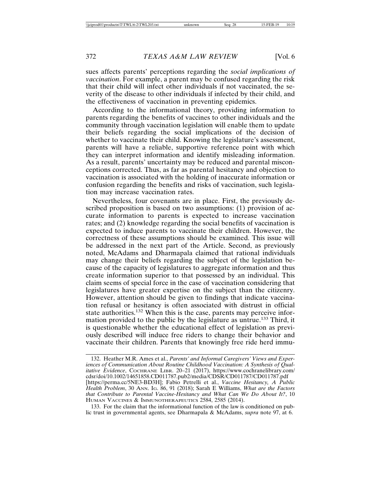sues affects parents' perceptions regarding the *social implications of vaccination*. For example, a parent may be confused regarding the risk that their child will infect other individuals if not vaccinated, the severity of the disease to other individuals if infected by their child, and the effectiveness of vaccination in preventing epidemics.

According to the informational theory, providing information to parents regarding the benefits of vaccines to other individuals and the community through vaccination legislation will enable them to update their beliefs regarding the social implications of the decision of whether to vaccinate their child. Knowing the legislature's assessment, parents will have a reliable, supportive reference point with which they can interpret information and identify misleading information. As a result, parents' uncertainty may be reduced and parental misconceptions corrected. Thus, as far as parental hesitancy and objection to vaccination is associated with the holding of inaccurate information or confusion regarding the benefits and risks of vaccination, such legislation may increase vaccination rates.

Nevertheless, four covenants are in place. First, the previously described proposition is based on two assumptions: (1) provision of accurate information to parents is expected to increase vaccination rates; and (2) knowledge regarding the social benefits of vaccination is expected to induce parents to vaccinate their children. However, the correctness of these assumptions should be examined. This issue will be addressed in the next part of the Article. Second, as previously noted, McAdams and Dharmapala claimed that rational individuals may change their beliefs regarding the subject of the legislation because of the capacity of legislatures to aggregate information and thus create information superior to that possessed by an individual. This claim seems of special force in the case of vaccination considering that legislatures have greater expertise on the subject than the citizenry. However, attention should be given to findings that indicate vaccination refusal or hesitancy is often associated with distrust in official state authorities.<sup>132</sup> When this is the case, parents may perceive information provided to the public by the legislature as untrue.133 Third, it is questionable whether the educational effect of legislation as previously described will induce free riders to change their behavior and vaccinate their children. Parents that knowingly free ride herd immu-

HUMAN VACCINES & IMMUNOTHERAPEUTICS 2584, 2585 (2014).

133. For the claim that the informational function of the law is conditioned on public trust in governmental agents, see Dharmapala & McAdams, *supra* note 97, at 6.

<sup>132.</sup> Heather M.R. Ames et al., *Parents' and Informal Caregivers' Views and Experiences of Communication About Routine Childhood Vaccination: A Synthesis of Qualitative Evidence*, COCHRANE LIBR. 20–21 (2017), https://www.cochranelibrary.com/ cdsr/doi/10.1002/14651858.CD011787.pub2/media/CDSR/CD011787/CD011787.pdf [https://perma.cc/5NE3-BD3H]; Fabio Petrelli et al., *Vaccine Hesitancy, A Public Health Problem*, 30 ANN. IG. 86, 91 (2018); Sarah E Williams, *What are the Factors that Contribute to Parental Vaccine-Hesitancy and What Can We Do About It?*, 10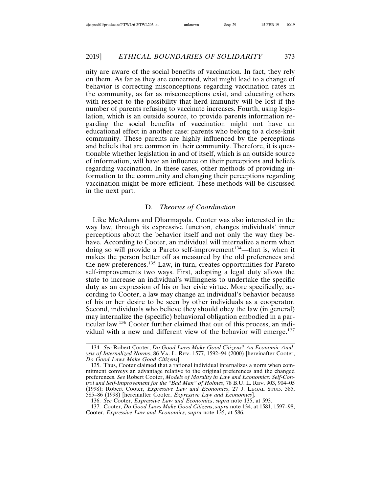nity are aware of the social benefits of vaccination. In fact, they rely on them. As far as they are concerned, what might lead to a change of behavior is correcting misconceptions regarding vaccination rates in the community, as far as misconceptions exist, and educating others with respect to the possibility that herd immunity will be lost if the number of parents refusing to vaccinate increases. Fourth, using legislation, which is an outside source, to provide parents information regarding the social benefits of vaccination might not have an educational effect in another case: parents who belong to a close-knit community. These parents are highly influenced by the perceptions and beliefs that are common in their community. Therefore, it is questionable whether legislation in and of itself, which is an outside source of information, will have an influence on their perceptions and beliefs regarding vaccination. In these cases, other methods of providing information to the community and changing their perceptions regarding vaccination might be more efficient. These methods will be discussed in the next part.

# D. *Theories of Coordination*

Like McAdams and Dharmapala, Cooter was also interested in the way law, through its expressive function, changes individuals' inner perceptions about the behavior itself and not only the way they behave. According to Cooter, an individual will internalize a norm when doing so will provide a Pareto self-improvement<sup>134</sup>—that is, when it makes the person better off as measured by the old preferences and the new preferences.135 Law, in turn, creates opportunities for Pareto self-improvements two ways. First, adopting a legal duty allows the state to increase an individual's willingness to undertake the specific duty as an expression of his or her civic virtue. More specifically, according to Cooter, a law may change an individual's behavior because of his or her desire to be seen by other individuals as a cooperator. Second, individuals who believe they should obey the law (in general) may internalize the (specific) behavioral obligation embodied in a particular law.136 Cooter further claimed that out of this process, an individual with a new and different view of the behavior will emerge.137

136. *See* Cooter, *Expressive Law and Economics*, *supra* note 135, at 593.

<sup>134.</sup> *See* Robert Cooter, *Do Good Laws Make Good Citizens? An Economic Analysis of Internalized Norms*, 86 VA. L. REV. 1577, 1592–94 (2000) [hereinafter Cooter, *Do Good Laws Make Good Citizens*].

<sup>135.</sup> Thus, Cooter claimed that a rational individual internalizes a norm when commitment conveys an advantage relative to the original preferences and the changed preferences. *See* Robert Cooter, *Models of Morality in Law and Economics: Self-Control and Self-Improvement for the "Bad Man" of Holmes*, 78 B.U. L. REV. 903, 904–05 (1998); Robert Cooter, *Expressive Law and Economics*, 27 J. LEGAL STUD. 585, 585–86 (1998) [hereinafter Cooter, *Expressive Law and Economics*].

<sup>137.</sup> Cooter, *Do Good Laws Make Good Citizens*, *supra* note 134, at 1581, 1597–98; Cooter, *Expressive Law and Economics*, *supra* note 135, at 586.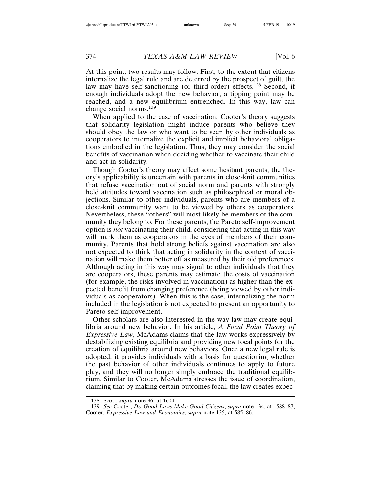At this point, two results may follow. First, to the extent that citizens internalize the legal rule and are deterred by the prospect of guilt, the law may have self-sanctioning (or third-order) effects.<sup>138</sup> Second, if enough individuals adopt the new behavior, a tipping point may be reached, and a new equilibrium entrenched. In this way, law can change social norms.<sup>139</sup>

When applied to the case of vaccination, Cooter's theory suggests that solidarity legislation might induce parents who believe they should obey the law or who want to be seen by other individuals as cooperators to internalize the explicit and implicit behavioral obligations embodied in the legislation. Thus, they may consider the social benefits of vaccination when deciding whether to vaccinate their child and act in solidarity.

Though Cooter's theory may affect some hesitant parents, the theory's applicability is uncertain with parents in close-knit communities that refuse vaccination out of social norm and parents with strongly held attitudes toward vaccination such as philosophical or moral objections. Similar to other individuals, parents who are members of a close-knit community want to be viewed by others as cooperators. Nevertheless, these "others" will most likely be members of the community they belong to. For these parents, the Pareto self-improvement option is *not* vaccinating their child, considering that acting in this way will mark them as cooperators in the eyes of members of their community. Parents that hold strong beliefs against vaccination are also not expected to think that acting in solidarity in the context of vaccination will make them better off as measured by their old preferences. Although acting in this way may signal to other individuals that they are cooperators, these parents may estimate the costs of vaccination (for example, the risks involved in vaccination) as higher than the expected benefit from changing preference (being viewed by other individuals as cooperators). When this is the case, internalizing the norm included in the legislation is not expected to present an opportunity to Pareto self-improvement.

Other scholars are also interested in the way law may create equilibria around new behavior. In his article, *A Focal Point Theory of Expressive Law*, McAdams claims that the law works expressively by destabilizing existing equilibria and providing new focal points for the creation of equilibria around new behaviors. Once a new legal rule is adopted, it provides individuals with a basis for questioning whether the past behavior of other individuals continues to apply to future play, and they will no longer simply embrace the traditional equilibrium. Similar to Cooter, McAdams stresses the issue of coordination, claiming that by making certain outcomes focal, the law creates expec-

<sup>138.</sup> Scott, *supra* note 96, at 1604.

<sup>139.</sup> *See* Cooter, *Do Good Laws Make Good Citizens*, *supra* note 134, at 1588–87; Cooter, *Expressive Law and Economics*, *supra* note 135, at 585–86.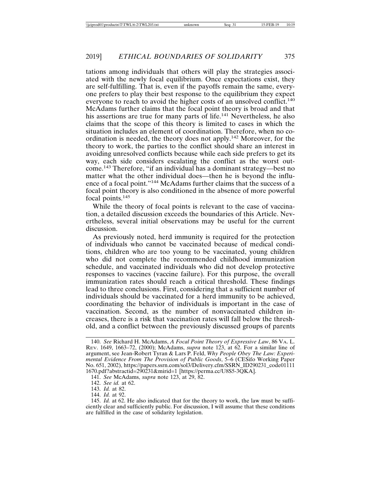tations among individuals that others will play the strategies associated with the newly focal equilibrium. Once expectations exist, they are self-fulfilling. That is, even if the payoffs remain the same, everyone prefers to play their best response to the equilibrium they expect everyone to reach to avoid the higher costs of an unsolved conflict.<sup>140</sup> McAdams further claims that the focal point theory is broad and that his assertions are true for many parts of life.<sup>141</sup> Nevertheless, he also claims that the scope of this theory is limited to cases in which the situation includes an element of coordination. Therefore, when no coordination is needed, the theory does not apply.142 Moreover, for the theory to work, the parties to the conflict should share an interest in avoiding unresolved conflicts because while each side prefers to get its way, each side considers escalating the conflict as the worst outcome.143 Therefore, "if an individual has a dominant strategy—best no matter what the other individual does—then he is beyond the influence of a focal point."144 McAdams further claims that the success of a focal point theory is also conditioned in the absence of more powerful focal points.145

While the theory of focal points is relevant to the case of vaccination, a detailed discussion exceeds the boundaries of this Article. Nevertheless, several initial observations may be useful for the current discussion.

As previously noted, herd immunity is required for the protection of individuals who cannot be vaccinated because of medical conditions, children who are too young to be vaccinated, young children who did not complete the recommended childhood immunization schedule, and vaccinated individuals who did not develop protective responses to vaccines (vaccine failure). For this purpose, the overall immunization rates should reach a critical threshold. These findings lead to three conclusions. First, considering that a sufficient number of individuals should be vaccinated for a herd immunity to be achieved, coordinating the behavior of individuals is important in the case of vaccination. Second, as the number of nonvaccinated children increases, there is a risk that vaccination rates will fall below the threshold, and a conflict between the previously discussed groups of parents

<sup>140.</sup> *See* Richard H. McAdams, *A Focal Point Theory of Expressive Law*, 86 VA. L. REV. 1649, 1663–72, (2000); McAdams, *supra* note 123, at 62. For a similar line of argument, see Jean-Robert Tyran & Lars P. Feld, *Why People Obey The Law: Experimental Evidence From The Provision of Public Goods*, 5–6 (CESifo Working Paper No. 651, 2002), https://papers.ssrn.com/sol3/Delivery.cfm/SSRN\_ID290231\_code01111 1670.pdf?abstractid=290231&mirid=1 [https://perma.cc/U8S5-3QKA].

<sup>141.</sup> *See* McAdams, *supra* note 123, at 29, 82.

<sup>142.</sup> *See id.* at 62.

<sup>143.</sup> *Id.* at 82.

<sup>144.</sup> *Id.* at 92.

<sup>145.</sup> *Id.* at 62. He also indicated that for the theory to work, the law must be sufficiently clear and sufficiently public. For discussion, I will assume that these conditions are fulfilled in the case of solidarity legislation.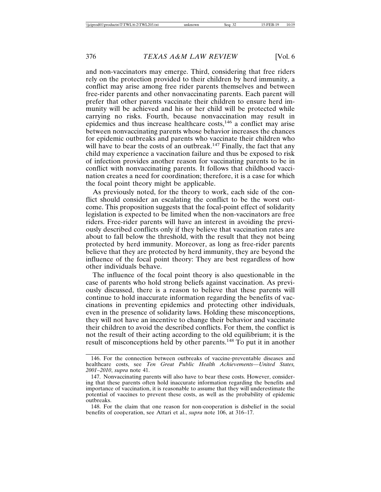and non-vaccinators may emerge. Third, considering that free riders rely on the protection provided to their children by herd immunity, a conflict may arise among free rider parents themselves and between free-rider parents and other nonvaccinating parents. Each parent will prefer that other parents vaccinate their children to ensure herd immunity will be achieved and his or her child will be protected while carrying no risks. Fourth, because nonvaccination may result in epidemics and thus increase healthcare costs,<sup>146</sup> a conflict may arise between nonvaccinating parents whose behavior increases the chances for epidemic outbreaks and parents who vaccinate their children who will have to bear the costs of an outbreak.<sup>147</sup> Finally, the fact that any child may experience a vaccination failure and thus be exposed to risk of infection provides another reason for vaccinating parents to be in conflict with nonvaccinating parents. It follows that childhood vaccination creates a need for coordination; therefore, it is a case for which the focal point theory might be applicable.

As previously noted, for the theory to work, each side of the conflict should consider an escalating the conflict to be the worst outcome. This proposition suggests that the focal-point effect of solidarity legislation is expected to be limited when the non-vaccinators are free riders. Free-rider parents will have an interest in avoiding the previously described conflicts only if they believe that vaccination rates are about to fall below the threshold, with the result that they not being protected by herd immunity. Moreover, as long as free-rider parents believe that they are protected by herd immunity, they are beyond the influence of the focal point theory: They are best regardless of how other individuals behave.

The influence of the focal point theory is also questionable in the case of parents who hold strong beliefs against vaccination. As previously discussed, there is a reason to believe that these parents will continue to hold inaccurate information regarding the benefits of vaccinations in preventing epidemics and protecting other individuals, even in the presence of solidarity laws. Holding these misconceptions, they will not have an incentive to change their behavior and vaccinate their children to avoid the described conflicts. For them, the conflict is not the result of their acting according to the old equilibrium; it is the result of misconceptions held by other parents.148 To put it in another

<sup>146.</sup> For the connection between outbreaks of vaccine-preventable diseases and healthcare costs, see *Ten Great Public Health Achievements—United States, 2001–2010*, *supra* note 41.

<sup>147.</sup> Nonvaccinating parents will also have to bear these costs. However, considering that these parents often hold inaccurate information regarding the benefits and importance of vaccination, it is reasonable to assume that they will underestimate the potential of vaccines to prevent these costs, as well as the probability of epidemic outbreaks.

<sup>148.</sup> For the claim that one reason for non-cooperation is disbelief in the social benefits of cooperation, see Attari et al., *supra* note 106, at 316–17.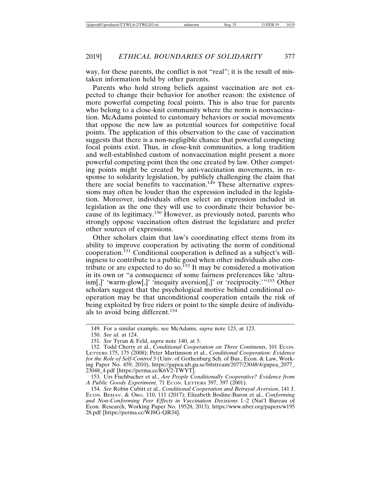way, for these parents, the conflict is not "real"; it is the result of mistaken information held by other parents.

Parents who hold strong beliefs against vaccination are not expected to change their behavior for another reason: the existence of more powerful competing focal points. This is also true for parents who belong to a close-knit community where the norm is nonvaccination. McAdams pointed to customary behaviors or social movements that oppose the new law as potential sources for competitive focal points. The application of this observation to the case of vaccination suggests that there is a non-negligible chance that powerful competing focal points exist. Thus, in close-knit communities, a long tradition and well-established custom of nonvaccination might present a more powerful competing point then the one created by law. Other competing points might be created by anti-vaccination movements, in response to solidarity legislation, by publicly challenging the claim that there are social benefits to vaccination.<sup>149</sup> These alternative expressions may often be louder than the expression included in the legislation. Moreover, individuals often select an expression included in legislation as the one they will use to coordinate their behavior because of its legitimacy.<sup>150</sup> However, as previously noted, parents who strongly oppose vaccination often distrust the legislature and prefer other sources of expressions.

Other scholars claim that law's coordinating effect stems from its ability to improve cooperation by activating the norm of conditional cooperation.151 Conditional cooperation is defined as a subject's willingness to contribute to a public good when other individuals also contribute or are expected to do so.<sup>152</sup> It may be considered a motivation in its own or "a consequence of some fairness preferences like 'altruism[,]' 'warm-glow[,]' 'inequity aversion[,]' or 'reciprocity.'"<sup>153</sup> Other scholars suggest that the psychological motive behind conditional cooperation may be that unconditional cooperation entails the risk of being exploited by free riders or point to the simple desire of individuals to avoid being different.<sup>154</sup>

<sup>149.</sup> For a similar example, see McAdams, *supra* note 123, at 123.

<sup>150.</sup> *See id.* at 124.

<sup>151.</sup> *See* Tyran & Feld, *supra* note 140, at 5.

<sup>152.</sup> Todd Cherry et al., *Conditional Cooperation on Three Continents*, 101 Econ. LETTERS 175, 175 (2008); Peter Martinsson et al., *Conditional Cooperation: Evidence for the Role of Self-Control* 3 (Univ. of Gothenburg Sch. of Bus., Econ. & Law, Working Paper No. 459, 2010), https://gupea.ub.gu.se/bitstream/2077/23048/4/gupea\_2077\_  $23048$ <sub>-4</sub>.pdf [https://perma.cc/ $\overline{K}6\overline{V}2$ -TWYT].

<sup>153.</sup> Urs Fischbacher et al., *Are People Conditionally Cooperative? Evidence from A Public Goods Experiment*, 71 ECON. LETTERS 397, 397 (2001).

<sup>154.</sup> *See* Robin Cubitt et al., *Conditional Cooperation and Betrayal Aversion*, 141 J. ECON. BEHAV. & ORG. 110, 111 (2017); Elizabeth Bodine-Baron et al., *Conforming and Non-Conforming Peer Effects in Vaccination Decisions* 1–2 (Nat'l Bureau of Econ. Research, Working Paper No. 19528, 2013), https://www.nber.org/papers/w195 28.pdf [https://perma.cc/WJ8G-QR34].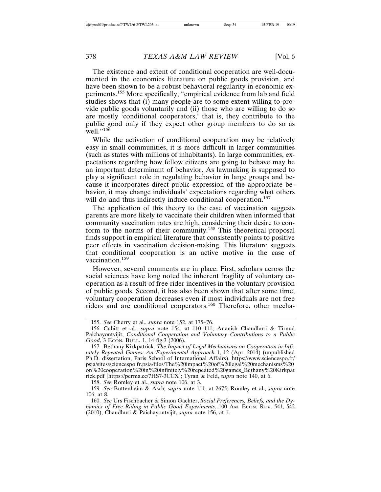The existence and extent of conditional cooperation are well-documented in the economics literature on public goods provision, and have been shown to be a robust behavioral regularity in economic experiments.155 More specifically, "empirical evidence from lab and field studies shows that (i) many people are to some extent willing to provide public goods voluntarily and (ii) those who are willing to do so are mostly 'conditional cooperators,' that is, they contribute to the public good only if they expect other group members to do so as well."156

While the activation of conditional cooperation may be relatively easy in small communities, it is more difficult in larger communities (such as states with millions of inhabitants). In large communities, expectations regarding how fellow citizens are going to behave may be an important determinant of behavior. As lawmaking is supposed to play a significant role in regulating behavior in large groups and because it incorporates direct public expression of the appropriate behavior, it may change individuals' expectations regarding what others will do and thus indirectly induce conditional cooperation.<sup>157</sup>

The application of this theory to the case of vaccination suggests parents are more likely to vaccinate their children when informed that community vaccination rates are high, considering their desire to conform to the norms of their community.158 This theoretical proposal finds support in empirical literature that consistently points to positive peer effects in vaccination decision-making. This literature suggests that conditional cooperation is an active motive in the case of vaccination.<sup>159</sup>

However, several comments are in place. First, scholars across the social sciences have long noted the inherent fragility of voluntary cooperation as a result of free rider incentives in the voluntary provision of public goods. Second, it has also been shown that after some time, voluntary cooperation decreases even if most individuals are not free riders and are conditional cooperators.160 Therefore, other mecha-

158. *See* Romley et al., *supra* note 106, at 3.

<sup>155.</sup> *See* Cherry et al., *supra* note 152, at 175–76.

<sup>156.</sup> Cubitt et al., *supra* note 154, at 110–111; Ananish Chaudhuri & Tirnud Paichayontvijit, *Conditional Cooperation and Voluntary Contributions to a Public Good*, 3 ECON. BULL. 1, 14 fig.3 (2006).

<sup>157.</sup> Bethany Kirkpatrick, *The Impact of Legal Mechanisms on Cooperation in Infinitely Repeated Games: An Experimental Approach* 1, 12 (Apr. 2014) (unpublished Ph.D. dissertation, Paris School of International Affairs), https://www.sciencespo.fr/ psia/sites/sciencespo.fr.psia/files/The%20impact%20of%20legal%20mechanisms%20 on%20cooperation%20in%20infinitely%20repeated%20games\_Bethany%20Kirkpat rick.pdf [https://perma.cc/7HS7-3CCX]; Tyran & Feld, *supra* note 140, at 6.

<sup>159.</sup> *See* Buttenheim & Asch*, supra* note 111, at 2675; Romley et al., *supra* note 106, at 8.

<sup>160.</sup> *See* Urs Fischbacher & Simon Gachter, *Social Preferences, Beliefs, and the Dynamics of Free Riding in Public Good Experiments*, 100 AM. ECON. REV. 541, 542 (2010); Chaudhuri & Paichayontvijit, *supra* note 156, at 1.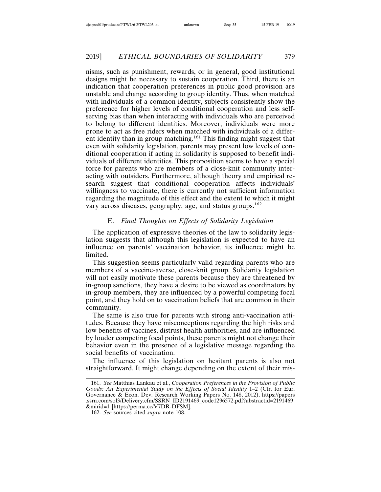nisms, such as punishment, rewards, or in general, good institutional designs might be necessary to sustain cooperation. Third, there is an indication that cooperation preferences in public good provision are unstable and change according to group identity. Thus, when matched with individuals of a common identity, subjects consistently show the preference for higher levels of conditional cooperation and less selfserving bias than when interacting with individuals who are perceived to belong to different identities. Moreover, individuals were more prone to act as free riders when matched with individuals of a different identity than in group matching.161 This finding might suggest that even with solidarity legislation, parents may present low levels of conditional cooperation if acting in solidarity is supposed to benefit individuals of different identities. This proposition seems to have a special force for parents who are members of a close-knit community interacting with outsiders. Furthermore, although theory and empirical research suggest that conditional cooperation affects individuals' willingness to vaccinate, there is currently not sufficient information regarding the magnitude of this effect and the extent to which it might vary across diseases, geography, age, and status groups.<sup>162</sup>

# E. *Final Thoughts on Effects of Solidarity Legislation*

The application of expressive theories of the law to solidarity legislation suggests that although this legislation is expected to have an influence on parents' vaccination behavior, its influence might be limited.

This suggestion seems particularly valid regarding parents who are members of a vaccine-averse, close-knit group. Solidarity legislation will not easily motivate these parents because they are threatened by in-group sanctions, they have a desire to be viewed as coordinators by in-group members, they are influenced by a powerful competing focal point, and they hold on to vaccination beliefs that are common in their community.

The same is also true for parents with strong anti-vaccination attitudes. Because they have misconceptions regarding the high risks and low benefits of vaccines, distrust health authorities, and are influenced by louder competing focal points, these parents might not change their behavior even in the presence of a legislative message regarding the social benefits of vaccination.

The influence of this legislation on hesitant parents is also not straightforward. It might change depending on the extent of their mis-

<sup>161.</sup> *See* Matthias Lankau et al., *Cooperation Preferences in the Provision of Public Goods: An Experimental Study on the Effects of Social Identity* 1–2 (Ctr. for Eur. Governance & Econ. Dev. Research Working Papers No. 148, 2012), https://papers .ssrn.com/sol3/Delivery.cfm/SSRN\_ID2191469\_code1296572.pdf?abstractid=2191469 &mirid=1 [https://perma.cc/V7DR-DFSM].

<sup>162.</sup> *See* sources cited *supra* note 108.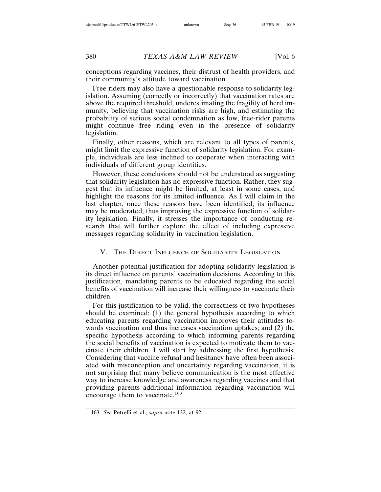conceptions regarding vaccines, their distrust of health providers, and their community's attitude toward vaccination.

Free riders may also have a questionable response to solidarity legislation. Assuming (correctly or incorrectly) that vaccination rates are above the required threshold, underestimating the fragility of herd immunity, believing that vaccination risks are high, and estimating the probability of serious social condemnation as low, free-rider parents might continue free riding even in the presence of solidarity legislation.

Finally, other reasons, which are relevant to all types of parents, might limit the expressive function of solidarity legislation. For example, individuals are less inclined to cooperate when interacting with individuals of different group identities.

However, these conclusions should not be understood as suggesting that solidarity legislation has no expressive function. Rather, they suggest that its influence might be limited, at least in some cases, and highlight the reasons for its limited influence. As I will claim in the last chapter, once these reasons have been identified, its influence may be moderated, thus improving the expressive function of solidarity legislation. Finally, it stresses the importance of conducting research that will further explore the effect of including expressive messages regarding solidarity in vaccination legislation.

#### V. THE DIRECT INFLUENCE OF SOLIDARITY LEGISLATION

Another potential justification for adopting solidarity legislation is its direct influence on parents' vaccination decisions. According to this justification, mandating parents to be educated regarding the social benefits of vaccination will increase their willingness to vaccinate their children.

For this justification to be valid, the correctness of two hypotheses should be examined: (1) the general hypothesis according to which educating parents regarding vaccination improves their attitudes towards vaccination and thus increases vaccination uptakes; and (2) the specific hypothesis according to which informing parents regarding the social benefits of vaccination is expected to motivate them to vaccinate their children. I will start by addressing the first hypothesis. Considering that vaccine refusal and hesitancy have often been associated with misconception and uncertainty regarding vaccination, it is not surprising that many believe communication is the most effective way to increase knowledge and awareness regarding vaccines and that providing parents additional information regarding vaccination will encourage them to vaccinate.<sup>163</sup>

<sup>163.</sup> *See* Petrelli et al., *supra* note 132, at 92.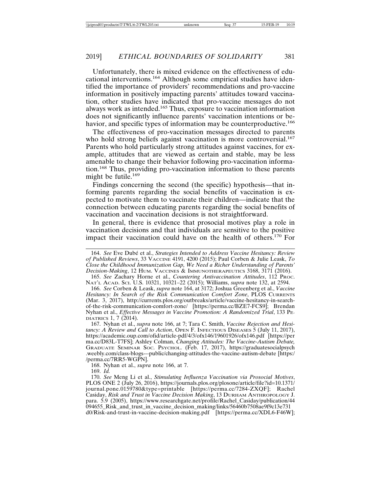Unfortunately, there is mixed evidence on the effectiveness of educational interventions.<sup>164</sup> Although some empirical studies have identified the importance of providers' recommendations and pro-vaccine information in positively impacting parents' attitudes toward vaccination, other studies have indicated that pro-vaccine messages do not always work as intended.165 Thus, exposure to vaccination information does not significantly influence parents' vaccination intentions or behavior, and specific types of information may be counterproductive.<sup>166</sup>

The effectiveness of pro-vaccination messages directed to parents who hold strong beliefs against vaccination is more controversial.<sup>167</sup> Parents who hold particularly strong attitudes against vaccines, for example, attitudes that are viewed as certain and stable, may be less amenable to change their behavior following pro-vaccination information.168 Thus, providing pro-vaccination information to these parents might be futile.<sup>169</sup>

Findings concerning the second (the specific) hypothesis—that informing parents regarding the social benefits of vaccination is expected to motivate them to vaccinate their children—indicate that the connection between educating parents regarding the social benefits of vaccination and vaccination decisions is not straightforward.

In general, there is evidence that prosocial motives play a role in vaccination decisions and that individuals are sensitive to the positive impact their vaccination could have on the health of others.170 For

167. Nyhan et al., *supra* note 166, at 7; Tara C. Smith, *Vaccine Rejection and Hesitancy: A Review and Call to Action, OPEN F. INFECTIOUS DISEASES 5 (July 11, 2017),* https://academic.oup.com/ofid/article-pdf/4/3/ofx146/19601926/ofx146.pdf [https://per ma.cc/D83L-T7FS]; Ashley Colman, *Changing Attitudes: The Vaccine-Autism Debate,* GRADUATE SEMINAR SOC. PSYCHOL. (Feb. 17, 2017), https://graduatesocialpsych .weebly.com/class-blogs---public/changing-attitudes-the-vaccine-autism-debate [https:/ /perma.cc/7RR5-WGPN].

168. Nyhan et al., *supra* note 166, at 7.

169. *Id.*

<sup>164.</sup> See Eve Dubé et al., *Strategies Intended to Address Vaccine Hesitancy: Review of Published Reviews*, 33 VACCINE 4191, 4200 (2015); Paul Corben & Julie Leask, *To Close the Childhood Immunization Gap, We Need a Richer Understanding of Parents' Decision-Making*, 12 HUM. VACCINES & IMMUNOTHERAPEUTICS 3168, 3171 (2016).

<sup>165.</sup> *See* Zachary Horne et al., *Countering Antivaccination Attitudes*, 112 PROC. NAT'L ACAD. SCI. U.S. 10321, 10321–22 (2015); Williams, *supra* note 132, at 2594.

<sup>166.</sup> *See* Corben & Leask, *supra* note 164, at 3172; Joshua Greenberg et al., *Vaccine Hesitancy: In Search of the Risk Communication Comfort Zone*, PLOS CURRENTS (Mar. 3, 2017), http://currents.plos.org/outbreaks/article/vaccine-hesitancy-in-searchof-the-risk-communication-comfort-zone/ [https://perma.cc/BZE7-FCS9]; Brendan Nyhan et al., *Effective Messages in Vaccine Promotion: A Randomized Trial*, 133 PE-DIATRICS 1, 7 (2014).

<sup>170.</sup> *See* Meng Li et al., *Stimulating Influenza Vaccination via Prosocial Motives*, PLOS ONE 2 (July 26, 2016), https://journals.plos.org/plosone/article/file?id=10.1371/ journal.pone.0159780&type=printable [https://perma.cc/7284-ZXQF]; Rachel Casiday, *Risk and Trust in Vaccine Decision Making*, 13 DURHAM ANTHROPOLOGY J. para. 5.9 (2005), https://www.researchgate.net/profile/Rachel\_Casiday/publication/44 094655\_Risk\_and\_trust\_in\_vaccine\_decision\_making/links/56460b7508ae9f9c13e731 d0/Risk-and-trust-in-vaccine-decision-making.pdf [https://perma.cc/XDL6-F46W];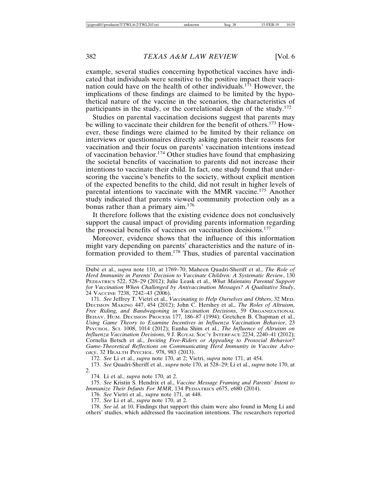example, several studies concerning hypothetical vaccines have indicated that individuals were sensitive to the positive impact their vaccination could have on the health of other individuals.<sup>171</sup> However, the implications of these findings are claimed to be limited by the hypothetical nature of the vaccine in the scenarios, the characteristics of participants in the study, or the correlational design of the study.<sup>172</sup>

Studies on parental vaccination decisions suggest that parents may be willing to vaccinate their children for the benefit of others.173 However, these findings were claimed to be limited by their reliance on interviews or questionnaires directly asking parents their reasons for vaccination and their focus on parents' vaccination intentions instead of vaccination behavior.174 Other studies have found that emphasizing the societal benefits of vaccination to parents did not increase their intentions to vaccinate their child. In fact, one study found that underscoring the vaccine's benefits to the society, without explicit mention of the expected benefits to the child, did not result in higher levels of parental intentions to vaccinate with the MMR vaccine.<sup>175</sup> Another study indicated that parents viewed community protection only as a bonus rather than a primary aim.<sup>176</sup>

It therefore follows that the existing evidence does not conclusively support the causal impact of providing parents information regarding the prosocial benefits of vaccines on vaccination decisions.<sup>177</sup>

Moreover, evidence shows that the influence of this information might vary depending on parents' characteristics and the nature of information provided to them.<sup>178</sup> Thus, studies of parental vaccination

Dubé et al., *supra* note 110, at 1769-70; Maheen Quadri-Sheriff et al., *The Role of Herd Immunity in Parents' Decision to Vaccinate Children: A Systematic Review*, 130 PEDIATRICS 522, 528–29 (2012); Julie Leask et al., *What Maintains Parental Support for Vaccination When Challenged by Antivaccination Messages? A Qualitative Study*, 24 VACCINE 7238, 7242–43 (2006).

171. *See* Jeffrey T. Vietri et al., *Vaccinating to Help Ourselves and Others*, 32 MED. DECISION MAKING 447, 454 (2012); John C. Hershey et al., *The Roles of Altruism, Free Riding, and Bandwagoning in Vaccination Decisions*, 59 ORGANIZATIONAL BEHAV. HUM. DECISION PROCESS 177, 186–87 (1994); Gretchen B. Chapman et al., *Using Game Theory to Examine Incentives in Influenza Vaccination Behavior*, 23 PSYCHOL. SCI. 1008, 1014 (2012); Eunha Shim et al., *The Influence of Altruism on Influenza Vaccination Decisions*, 9 J. ROYAL SOC'Y INTERFACE 2234, 2240–41 (2012); Cornelia Betsch et al., *Inviting Free-Riders or Appealing to Prosocial Behavior? Game-Theoretical Reflections on Communicating Herd Immunity in Vaccine Advocacy*, 32 HEALTH PSYCHOL. 978, 983 (2013).

172. *See* Li et al., *supra* note 170, at 2; Vietri, *supra* note 171, at 454.

173. *See* Quadri-Sheriff et al., *supra* note 170, at 528–29; Li et al., *supra* note 170, at 2.

174. Li et al., *supra* note 170, at 2.

175. *See* Kristin S. Hendrix et al., *Vaccine Message Framing and Parents' Intent to Immunize Their Infants For MMR*, 134 PEDIATRICS e675, e680 (2014).

176. *See* Vietri et al., *supra* note 171, at 448.

177. *See* Li et al., *supra* note 170, at 2.

178. *See id.* at 10. Findings that support this claim were also found in Meng Li and others' studies, which addressed flu vaccination intentions. The researchers reported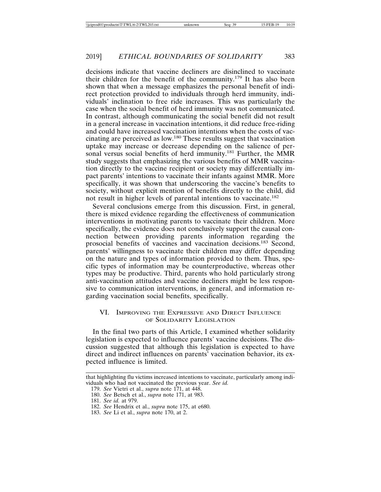decisions indicate that vaccine decliners are disinclined to vaccinate their children for the benefit of the community.179 It has also been shown that when a message emphasizes the personal benefit of indirect protection provided to individuals through herd immunity, individuals' inclination to free ride increases. This was particularly the case when the social benefit of herd immunity was not communicated. In contrast, although communicating the social benefit did not result in a general increase in vaccination intentions, it did reduce free-riding and could have increased vaccination intentions when the costs of vaccinating are perceived as low.180 These results suggest that vaccination uptake may increase or decrease depending on the salience of personal versus social benefits of herd immunity.<sup>181</sup> Further, the MMR study suggests that emphasizing the various benefits of MMR vaccination directly to the vaccine recipient or society may differentially impact parents' intentions to vaccinate their infants against MMR. More specifically, it was shown that underscoring the vaccine's benefits to society, without explicit mention of benefits directly to the child, did not result in higher levels of parental intentions to vaccinate.<sup>182</sup>

Several conclusions emerge from this discussion. First, in general, there is mixed evidence regarding the effectiveness of communication interventions in motivating parents to vaccinate their children. More specifically, the evidence does not conclusively support the causal connection between providing parents information regarding the prosocial benefits of vaccines and vaccination decisions.183 Second, parents' willingness to vaccinate their children may differ depending on the nature and types of information provided to them. Thus, specific types of information may be counterproductive, whereas other types may be productive. Third, parents who hold particularly strong anti-vaccination attitudes and vaccine decliners might be less responsive to communication interventions, in general, and information regarding vaccination social benefits, specifically.

#### VI. IMPROVING THE EXPRESSIVE AND DIRECT INFLUENCE OF SOLIDARITY LEGISLATION

In the final two parts of this Article, I examined whether solidarity legislation is expected to influence parents' vaccine decisions. The discussion suggested that although this legislation is expected to have direct and indirect influences on parents' vaccination behavior, its expected influence is limited.

that highlighting flu victims increased intentions to vaccinate, particularly among individuals who had not vaccinated the previous year. *See id.*

<sup>179.</sup> *See* Vietri et al., *supra* note 171, at 448.

<sup>180.</sup> *See* Betsch et al., *supra* note 171, at 983.

<sup>181.</sup> *See id.* at 979.

<sup>182.</sup> *See* Hendrix et al., *supra* note 175, at e680.

<sup>183.</sup> *See* Li et al., *supra* note 170, at 2.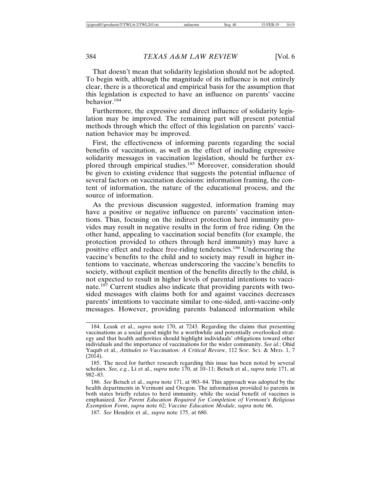That doesn't mean that solidarity legislation should not be adopted. To begin with, although the magnitude of its influence is not entirely clear, there is a theoretical and empirical basis for the assumption that this legislation is expected to have an influence on parents' vaccine behavior.<sup>184</sup>

Furthermore, the expressive and direct influence of solidarity legislation may be improved. The remaining part will present potential methods through which the effect of this legislation on parents' vaccination behavior may be improved.

First, the effectiveness of informing parents regarding the social benefits of vaccination, as well as the effect of including expressive solidarity messages in vaccination legislation, should be further explored through empirical studies.<sup>185</sup> Moreover, consideration should be given to existing evidence that suggests the potential influence of several factors on vaccination decisions: information framing, the content of information, the nature of the educational process, and the source of information.

As the previous discussion suggested, information framing may have a positive or negative influence on parents' vaccination intentions. Thus, focusing on the indirect protection herd immunity provides may result in negative results in the form of free riding. On the other hand, appealing to vaccination social benefits (for example, the protection provided to others through herd immunity) may have a positive effect and reduce free-riding tendencies.186 Underscoring the vaccine's benefits to the child and to society may result in higher intentions to vaccinate, whereas underscoring the vaccine's benefits to society, without explicit mention of the benefits directly to the child, is not expected to result in higher levels of parental intentions to vaccinate.187 Current studies also indicate that providing parents with twosided messages with claims both for and against vaccines decreases parents' intentions to vaccinate similar to one-sided, anti-vaccine-only messages. However, providing parents balanced information while

<sup>184.</sup> Leask et al., *supra* note 170, at 7243. Regarding the claims that presenting vaccinations as a social good might be a worthwhile and potentially overlooked strategy and that health authorities should highlight individuals' obligations toward other individuals and the importance of vaccinations for the wider community. *See id.*; Ohid Yaqub et al., *Attitudes to Vaccination: A Critical Review*, 112 Soc. Sci. & MED. 1, 7 (2014).

<sup>185.</sup> The need for further research regarding this issue has been noted by several scholars. *See, e.g.*, Li et al., *supra* note 170, at 10–11; Betsch et al., *supra* note 171, at 982–83.

<sup>186.</sup> *See* Betsch et al., *supra* note 171, at 983–84. This approach was adopted by the health departments in Vermont and Oregon. The information provided to parents in both states briefly relates to herd immunity, while the social benefit of vaccines is emphasized. *See Parent Education Required for Completion of Vermont's Religious Exemption Form*, *supra* note 62; *Vaccine Education Module*, *supra* note 66.

<sup>187.</sup> *See* Hendrix et al., *supra* note 175, at 680.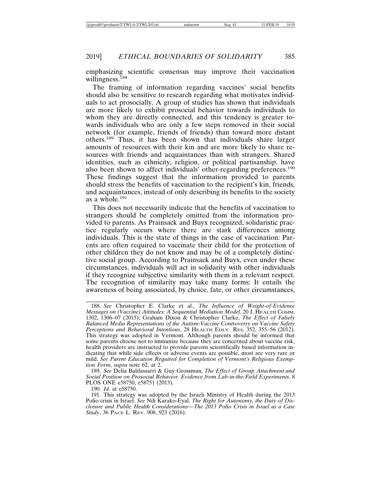emphasizing scientific consensus may improve their vaccination willingness.<sup>188</sup>

The framing of information regarding vaccines' social benefits should also be sensitive to research regarding what motivates individuals to act prosocially. A group of studies has shown that individuals are more likely to exhibit prosocial behavior towards individuals to whom they are directly connected, and this tendency is greater towards individuals who are only a few steps removed in their social network (for example, friends of friends) than toward more distant others.<sup>189</sup> Thus, it has been shown that individuals share larger amounts of resources with their kin and are more likely to share resources with friends and acquaintances than with strangers. Shared identities, such as ethnicity, religion, or political partisanship, have also been shown to affect individuals' other-regarding preferences.190 These findings suggest that the information provided to parents should stress the benefits of vaccination to the recipient's kin, friends, and acquaintances, instead of only describing its benefits to the society as a whole.<sup>191</sup>

This does not necessarily indicate that the benefits of vaccination to strangers should be completely omitted from the information provided to parents. As Prainsack and Buyx recognized, solidaristic practice regularly occurs where there are stark differences among individuals. This is the state of things in the case of vaccination: Parents are often required to vaccinate their child for the protection of other children they do not know and may be of a completely distinctive social group. According to Prainsack and Buyx, even under these circumstances, individuals will act in solidarity with other individuals if they recognize subjective similarity with them in a relevant respect. The recognition of similarity may take many forms: It entails the awareness of being associated, by choice, fate, or other circumstances,

189. *See* Delia Baldassarri & Guy Grossman, *The Effect of Group Attachment and Social Position on Prosocial Behavior. Evidence from Lab-in-the-Field Experiments*, 8 PLOS ONE e58750, e58751 (2013).

<sup>188.</sup> *See* Christopher E. Clarke et al., *The Influence of Weight-of-Evidence Messages on (Vaccine) Attitudes: A Sequential Mediation Model*, 20 J. HEALTH COMM. 1302, 1306–07 (2015); Graham Dixon & Christopher Clarke, *The Effect of Falsely Balanced Media Representations of the Autism-Vaccine Controversy on Vaccine Safety Perceptions and Behavioral Intentions*, 28 HEALTH EDUC. RES. 352, 355–56 (2012). This strategy was adopted in Vermont. Although parents should be informed that some parents choose not to immunize because they are concerned about vaccine risk, health providers are instructed to provide parents scientifically based information indicating that while side effects or adverse events are possible, most are very rare or mild. *See Parent Education Required for Completion of Vermont's Religious Exemption Form*, *supra* note 62, at 2.

<sup>190.</sup> *Id*. at e58750.

<sup>191.</sup> This strategy was adopted by the Israeli Ministry of Health during the 2013 Polio crisis in Israel. *See* Nili Karako-Eyal, *The Right for Autonomy, the Duty of Disclosure and Public Health Considerations—The 2013 Polio Crisis in Israel as a Case Study*, 36 PACE L. REV. 908, 923 (2016).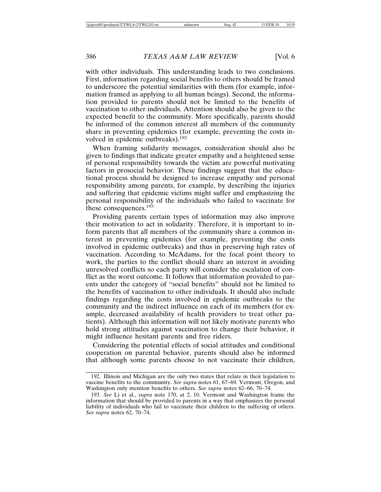with other individuals. This understanding leads to two conclusions. First, information regarding social benefits to others should be framed to underscore the potential similarities with them (for example, information framed as applying to all human beings). Second, the information provided to parents should not be limited to the benefits of vaccination to other individuals. Attention should also be given to the expected benefit to the community. More specifically, parents should be informed of the common interest all members of the community share in preventing epidemics (for example, preventing the costs involved in epidemic outbreaks).<sup>192</sup>

When framing solidarity messages, consideration should also be given to findings that indicate greater empathy and a heightened sense of personal responsibility towards the victim are powerful motivating factors in prosocial behavior. These findings suggest that the educational process should be designed to increase empathy and personal responsibility among parents, for example, by describing the injuries and suffering that epidemic victims might suffer and emphasizing the personal responsibility of the individuals who failed to vaccinate for these consequences.<sup>193</sup>

Providing parents certain types of information may also improve their motivation to act in solidarity. Therefore, it is important to inform parents that all members of the community share a common interest in preventing epidemics (for example, preventing the costs involved in epidemic outbreaks) and thus in preserving high rates of vaccination. According to McAdams, for the focal point theory to work, the parties to the conflict should share an interest in avoiding unresolved conflicts so each party will consider the escalation of conflict as the worst outcome. It follows that information provided to parents under the category of "social benefits" should not be limited to the benefits of vaccination to other individuals. It should also include findings regarding the costs involved in epidemic outbreaks to the community and the indirect influence on each of its members (for example, decreased availability of health providers to treat other patients). Although this information will not likely motivate parents who hold strong attitudes against vaccination to change their behavior, it might influence hesitant parents and free riders.

Considering the potential effects of social attitudes and conditional cooperation on parental behavior, parents should also be informed that although some parents choose to not vaccinate their children,

<sup>192.</sup> Illinois and Michigan are the only two states that relate in their legislation to vaccine benefits to the community. *See supra* notes 61, 67–69. Vermont, Oregon, and Washington only mention benefits to others. *See supra* notes 62–66, 70–74*.*

<sup>193.</sup> *See* Li et al., *supra* note 170, at 2, 10. Vermont and Washington frame the information that should be provided to parents in a way that emphasizes the personal liability of individuals who fail to vaccinate their children to the suffering of others. *See supra* notes 62, 70–74.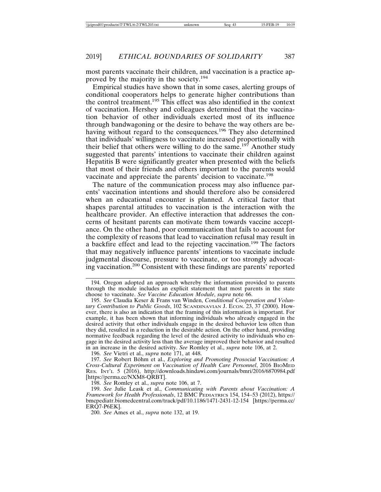most parents vaccinate their children, and vaccination is a practice approved by the majority in the society.<sup>194</sup>

Empirical studies have shown that in some cases, alerting groups of conditional cooperators helps to generate higher contributions than the control treatment.195 This effect was also identified in the context of vaccination. Hershey and colleagues determined that the vaccination behavior of other individuals exerted most of its influence through bandwagoning or the desire to behave the way others are behaving without regard to the consequences.<sup>196</sup> They also determined that individuals' willingness to vaccinate increased proportionally with their belief that others were willing to do the same.<sup>197</sup> Another study suggested that parents' intentions to vaccinate their children against Hepatitis B were significantly greater when presented with the beliefs that most of their friends and others important to the parents would vaccinate and appreciate the parents' decision to vaccinate.<sup>198</sup>

The nature of the communication process may also influence parents' vaccination intentions and should therefore also be considered when an educational encounter is planned. A critical factor that shapes parental attitudes to vaccination is the interaction with the healthcare provider. An effective interaction that addresses the concerns of hesitant parents can motivate them towards vaccine acceptance. On the other hand, poor communication that fails to account for the complexity of reasons that lead to vaccination refusal may result in a backfire effect and lead to the rejecting vaccination.199 The factors that may negatively influence parents' intentions to vaccinate include judgmental discourse, pressure to vaccinate, or too strongly advocating vaccination.200 Consistent with these findings are parents' reported

196. *See* Vietri et al., *supra* note 171, at 448.

197. See Robert Böhm et al., *Exploring and Promoting Prosocial Vaccination: A Cross-Cultural Experiment on Vaccination of Health Care Personnel*, 2016 BIOMED RES. INT'L 5 (2016), http://downloads.hindawi.com/journals/bmri/2016/6870984.pdf [https://perma.cc/NXM8-QRBT].

198. *See* Romley et al., *supra* note 106, at 7.

<sup>194.</sup> Oregon adopted an approach whereby the information provided to parents through the module includes an explicit statement that most parents in the state choose to vaccinate. *See Vaccine Education Module*, *supra* note 66.

<sup>195.</sup> *See* Claudia Keser & Frans van Winden, *Conditional Cooperation and Voluntary Contribution to Public Goods*, 102 SCANDINAVIAN J. ECON. 23, 37 (2000). However, there is also an indication that the framing of this information is important. For example, it has been shown that informing individuals who already engaged in the desired activity that other individuals engage in the desired behavior less often than they did, resulted in a reduction in the desirable action. On the other hand, providing normative feedback regarding the level of the desired activity to individuals who engage in the desired activity less than the average improved their behavior and resulted in an increase in the desired activity. *See* Romley et al., *supra* note 106, at 2.

<sup>199.</sup> *See* Julie Leask et al., *Communicating with Parents about Vaccination: A Framework for Health Professionals*, 12 BMC PEDIATRICS 154, 154–53 (2012), https:// bmcpediatr.biomedcentral.com/track/pdf/10.1186/1471-2431-12-154 [https://perma.cc/ ERQ7-P6EK].

<sup>200.</sup> *See* Ames et al., *supra* note 132, at 19.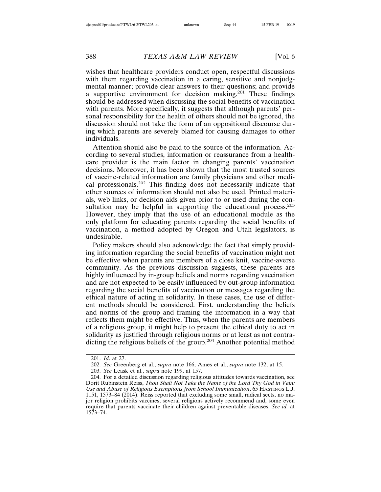wishes that healthcare providers conduct open, respectful discussions with them regarding vaccination in a caring, sensitive and nonjudgmental manner; provide clear answers to their questions; and provide a supportive environment for decision making.201 These findings should be addressed when discussing the social benefits of vaccination with parents. More specifically, it suggests that although parents' personal responsibility for the health of others should not be ignored, the discussion should not take the form of an oppositional discourse during which parents are severely blamed for causing damages to other individuals.

Attention should also be paid to the source of the information. According to several studies, information or reassurance from a healthcare provider is the main factor in changing parents' vaccination decisions. Moreover, it has been shown that the most trusted sources of vaccine-related information are family physicians and other medical professionals.202 This finding does not necessarily indicate that other sources of information should not also be used. Printed materials, web links, or decision aids given prior to or used during the consultation may be helpful in supporting the educational process.<sup>203</sup> However, they imply that the use of an educational module as the only platform for educating parents regarding the social benefits of vaccination, a method adopted by Oregon and Utah legislators, is undesirable.

Policy makers should also acknowledge the fact that simply providing information regarding the social benefits of vaccination might not be effective when parents are members of a close knit, vaccine-averse community. As the previous discussion suggests, these parents are highly influenced by in-group beliefs and norms regarding vaccination and are not expected to be easily influenced by out-group information regarding the social benefits of vaccination or messages regarding the ethical nature of acting in solidarity. In these cases, the use of different methods should be considered. First, understanding the beliefs and norms of the group and framing the information in a way that reflects them might be effective. Thus, when the parents are members of a religious group, it might help to present the ethical duty to act in solidarity as justified through religious norms or at least as not contradicting the religious beliefs of the group.204 Another potential method

<sup>201.</sup> *Id*. at 27.

<sup>202.</sup> *See* Greenberg et al., *supra* note 166; Ames et al., *supra* note 132, at 15.

<sup>203.</sup> *See* Leask et al., *supra* note 199, at 157.

<sup>204.</sup> For a detailed discussion regarding religious attitudes towards vaccination, see Dorit Rubinstein Reiss, *Thou Shalt Not Take the Name of the Lord Thy God in Vain: Use and Abuse of Religious Exemptions from School Immunization*, 65 HASTINGS L.J. 1151, 1573–84 (2014). Reiss reported that excluding some small, radical sects, no major religion prohibits vaccines, several religions actively recommend and, some even require that parents vaccinate their children against preventable diseases. *See id.* at 1573–74.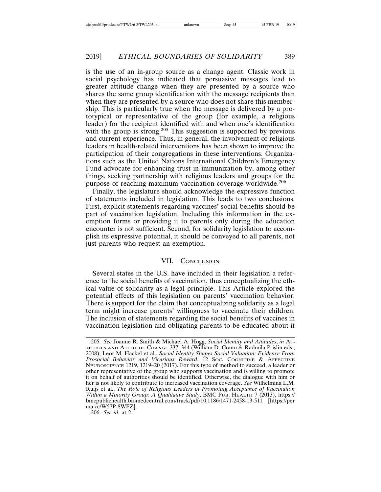is the use of an in-group source as a change agent. Classic work in social psychology has indicated that persuasive messages lead to greater attitude change when they are presented by a source who shares the same group identification with the message recipients than when they are presented by a source who does not share this membership. This is particularly true when the message is delivered by a prototypical or representative of the group (for example, a religious leader) for the recipient identified with and when one's identification with the group is strong.<sup>205</sup> This suggestion is supported by previous and current experience. Thus, in general, the involvement of religious leaders in health-related interventions has been shown to improve the participation of their congregations in these interventions. Organizations such as the United Nations International Children's Emergency Fund advocate for enhancing trust in immunization by, among other things, seeking partnership with religious leaders and groups for the purpose of reaching maximum vaccination coverage worldwide.<sup>206</sup>

Finally, the legislature should acknowledge the expressive function of statements included in legislation. This leads to two conclusions. First, explicit statements regarding vaccines' social benefits should be part of vaccination legislation. Including this information in the exemption forms or providing it to parents only during the education encounter is not sufficient. Second, for solidarity legislation to accomplish its expressive potential, it should be conveyed to all parents, not just parents who request an exemption.

#### VII. CONCLUSION

Several states in the U.S. have included in their legislation a reference to the social benefits of vaccination, thus conceptualizing the ethical value of solidarity as a legal principle. This Article explored the potential effects of this legislation on parents' vaccination behavior. There is support for the claim that conceptualizing solidarity as a legal term might increase parents' willingness to vaccinate their children. The inclusion of statements regarding the social benefits of vaccines in vaccination legislation and obligating parents to be educated about it

<sup>205.</sup> *See* Joanne R. Smith & Michael A. Hogg, *Social Identity and Attitudes*, *in* AT-TITUDES AND ATTITUDE CHANGE 337, 344 (William D. Crano & Radmila Prislin eds., 2008); Leor M. Hackel et al., *Social Identity Shapes Social Valuation: Evidence From Prosocial Behavior and Vicarious Reward*, 12 SOC. COGNITIVE & AFFECTIVE NEUROSCIENCE 1219, 1219–20 (2017). For this type of method to succeed, a leader or other representative of the group who supports vaccination and is willing to promote it on behalf of authorities should be identified. Otherwise, the dialogue with him or her is not likely to contribute to increased vaccination coverage. *See* Wilhelmina L.M. Ruijs et al., *The Role of Religious Leaders in Promoting Acceptance of Vaccination Within a Minority Group: A Qualitative Study*, BMC PUB. HEALTH 7 (2013), https:// bmcpublichealth.biomedcentral.com/track/pdf/10.1186/1471-2458-13-511 [https://per ma.cc/W57P-8WFZ].

<sup>206.</sup> *See id.* at 2.